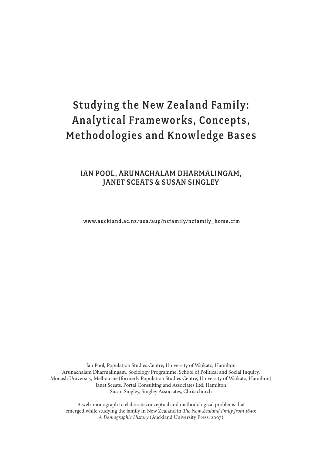# Studying the New Zealand Family : Analytical Frameworks, Concepts, Methodologies and Knowledge Bases

# Ian Pool, Arunachalam Dharmalingam, Janet Sceats & susan singley

www.auckland.ac.nz /uoa /aup/nzfamily/nzfamily\_home.cfm

Ian Pool, Population Studies Centre, University of Waikato, Hamilton Arunachalam Dharmalingam, Sociology Programme, School of Political and Social Inquiry, Monash University, Melbourne (formerly Population Studies Centre, University of Waikato, Hamilton) Janet Sceats, Portal Consulting and Associates Ltd, Hamilton Susan Singley, Singley Associates, Christchurch

A web-monograph to elaborate conceptual and methodological problems that emerged while studying the family in New Zealand in *The New Zealand Fmily from 1840: A Demographic History* (Auckland University Press, 2007)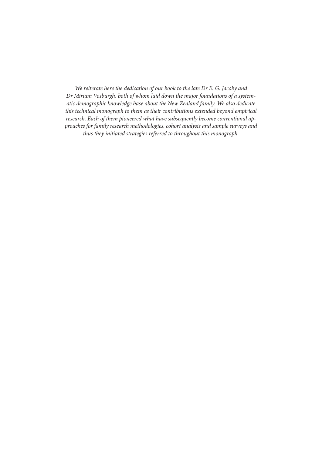*We reiterate here the dedication of our book to the late Dr E. G. Jacoby and Dr Miriam Vosburgh, both of whom laid down the major foundations of a systematic demographic knowledge base about the New Zealand family. We also dedicate this technical monograph to them as their contributions extended beyond empirical research. Each of them pioneered what have subsequently become conventional approaches for family research methodologies, cohort analysis and sample surveys and thus they initiated strategies referred to throughout this monograph.*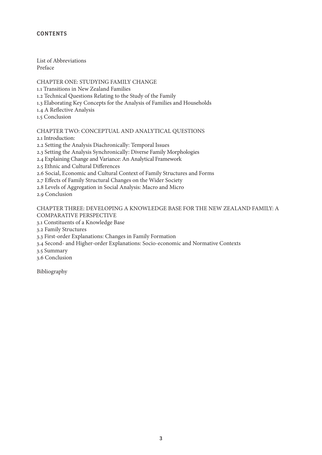# **CONTENTS**

List of Abbreviations Preface

CHAPTER ONE: STUDYING FAMILY CHANGE 1.1 Transitions in New Zealand Families 1.2 Technical Questions Relating to the Study of the Family 1.3 Elaborating Key Concepts for the Analysis of Families and Households 1.4 A Reflective Analysis 1.5 Conclusion

CHAPTER TWO: CONCEPTUAL AND ANALYTICAL QUESTIONS 2.1 Introduction:

2.2 Setting the Analysis Diachronically: Temporal Issues

2.3 Setting the Analysis Synchronically: Diverse Family Morphologies

2.4 Explaining Change and Variance: An Analytical Framework

2.5 Ethnic and Cultural Differences

2.6 Social, Economic and Cultural Context of Family Structures and Forms

2.7 Effects of Family Structural Changes on the Wider Society

2.8 Levels of Aggregation in Social Analysis: Macro and Micro

2.9 Conclusion

CHAPTER THREE: DEVELOPING A KNOWLEDGE BASE FOR THE NEW ZEALAND FAMILY: A COMPARATIVE PERSPECTIVE

3.1 Constituents of a Knowledge Base

3.2 Family Structures

3.3 First-order Explanations: Changes in Family Formation

3.4 Second- and Higher-order Explanations: Socio-economic and Normative Contexts

3.5 Summary

3.6 Conclusion

Bibliography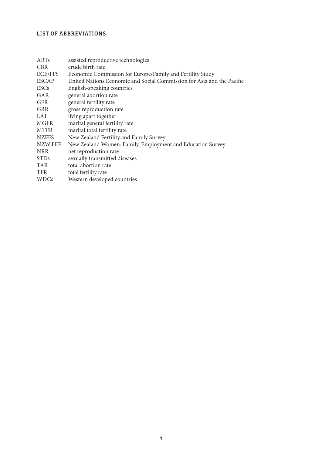# LIST OF ABBREVIATIONS

| ARTs           | assisted reproductive technologies                                     |
|----------------|------------------------------------------------------------------------|
| <b>CBR</b>     | crude birth rate                                                       |
| <b>ECE/FFS</b> | Economic Commission for Europe/Family and Fertility Study              |
| <b>ESCAP</b>   | United Nations Economic and Social Commission for Asia and the Pacific |
| <b>ESCs</b>    | English-speaking countries                                             |
| GAR            | general abortion rate                                                  |
| <b>GFR</b>     | general fertility rate                                                 |
| <b>GRR</b>     | gross reproduction rate                                                |
| <b>LAT</b>     | living apart together                                                  |
| <b>MGFR</b>    | marital general fertility rate                                         |
| <b>MTFR</b>    | marital total fertility rate                                           |
| <b>NZFFS</b>   | New Zealand Fertility and Family Survey                                |
| NZW:FEE        | New Zealand Women: Family, Employment and Education Survey             |
| <b>NRR</b>     | net reproduction rate                                                  |
| <b>STDs</b>    | sexually transmitted diseases                                          |
| <b>TAR</b>     | total abortion rate                                                    |
| <b>TFR</b>     | total fertility rate                                                   |
| <b>WDCs</b>    | Western developed countries                                            |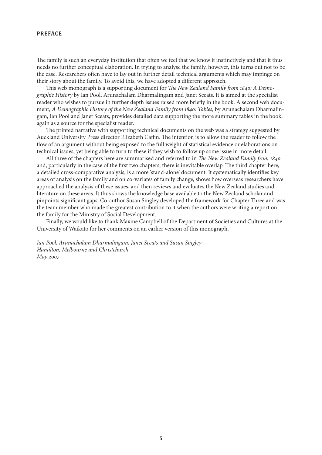#### PREFACE

The family is such an everyday institution that often we feel that we know it instinctively and that it thus needs no further conceptual elaboration. In trying to analyse the family, however, this turns out not to be the case. Researchers often have to lay out in further detail technical arguments which may impinge on their story about the family. To avoid this, we have adopted a different approach.

This web monograph is a supporting document for *The New Zealand Family from 1840: A Demographic History* by Ian Pool, Arunachalam Dharmalingam and Janet Sceats. It is aimed at the specialist reader who wishes to pursue in further depth issues raised more briefly in the book. A second web document, *A Demographic History of the New Zealand Family from 1840: Tables*, by Arunachalam Dharmalingam, Ian Pool and Janet Sceats, provides detailed data supporting the more summary tables in the book, again as a source for the specialist reader.

The printed narrative with supporting technical documents on the web was a strategy suggested by Auckland University Press director Elizabeth Caffin. The intention is to allow the reader to follow the flow of an argument without being exposed to the full weight of statistical evidence or elaborations on technical issues, yet being able to turn to these if they wish to follow up some issue in more detail.

All three of the chapters here are summarised and referred to in *The New Zealand Family from 1840* and, particularly in the case of the first two chapters, there is inevitable overlap. The third chapter here, a detailed cross-comparative analysis, is a more 'stand-alone' document. It systematically identifies key areas of analysis on the family and on co-variates of family change, shows how overseas researchers have approached the analysis of these issues, and then reviews and evaluates the New Zealand studies and literature on these areas. It thus shows the knowledge base available to the New Zealand scholar and pinpoints significant gaps. Co-author Susan Singley developed the framework for Chapter Three and was the team member who made the greatest contribution to it when the authors were writing a report on the family for the Ministry of Social Development.

Finally, we would like to thank Maxine Campbell of the Department of Societies and Cultures at the University of Waikato for her comments on an earlier version of this monograph.

*Ian Pool, Arunachalam Dharmalingam, Janet Sceats and Susan Singley Hamilton, Melbourne and Christchurch May 2007*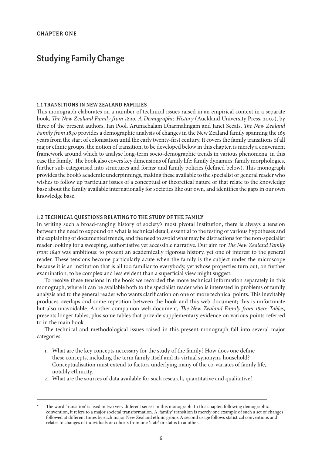# Studying Family Change

#### 1.1 Transitions in New Zealand Families

This monograph elaborates on a number of technical issues raised in an empirical context in a separate book, *The New Zealand Family from 1840: A Demographic History* (Auckland University Press, 2007), by three of the present authors, Ian Pool, Arunachalam Dharmalingam and Janet Sceats. *The New Zealand Family from 1840* provides a demographic analysis of changes in the New Zealand family spanning the 165 years from the start of colonisation until the early twenty-first century. It covers the family transitions of all major ethnic groups; the notion of transition, to be developed below in this chapter, is merely a convenient framework around which to analyse long-term socio-demographic trends in various phenomena, in this case the family. The book also covers key dimensions of family life: family dynamics; family morphologies, further sub-categorised into structures and forms; and family policies (defined below). This monograph provides the book's academic underpinnings, making these available to the specialist or general reader who wishes to follow up particular issues of a conceptual or theoretical nature or that relate to the knowledge base about the family available internationally for societies like our own, and identifies the gaps in our own knowledge base.

#### 1.2 Technical Questions Relating to the Study of the Family

In writing such a broad-ranging history of society's most pivotal institution, there is always a tension between the need to expound on what is technical detail, essential to the testing of various hypotheses and the explaining of documented trends, and the need to avoid what may be distractions for the non-specialist reader looking for a sweeping, authoritative yet accessible narrative. Our aim for *The New Zealand Family from 1840* was ambitious: to present an academically rigorous history, yet one of interest to the general reader. These tensions become particularly acute when the family is the subject under the microscope because it is an institution that is all too familiar to everybody, yet whose properties turn out, on further examination, to be complex and less evident than a superficial view might suggest.

To resolve these tensions in the book we recorded the more technical information separately in this monograph, where it can be available both to the specialist reader who is interested in problems of family analysis and to the general reader who wants clarification on one or more technical points. This inevitably produces overlaps and some repetition between the book and this web document; this is unfortunate but also unavoidable. Another companion web-document, *The New Zealand Family from 1840: Tables*, presents longer tables, plus some tables that provide supplementary evidence on various points referred to in the main book.

The technical and methodological issues raised in this present monograph fall into several major categories:

- 1. What are the key concepts necessary for the study of the family? How does one define these concepts, including the term family itself and its virtual synonym, household? Conceptualisation must extend to factors underlying many of the co-variates of family life, notably ethnicity.
- 2. What are the sources of data available for such research, quantitative and qualitative?

The word 'transition' is used in two very different senses in this monograph. In this chapter, following demographic convention, it refers to a major societal transformation. A 'family' transition is merely one example of such a set of changes followed at different times by each major New Zealand ethnic group. A second usage follows statistical conventions and relates to changes of individuals or cohorts from one 'state' or status to another.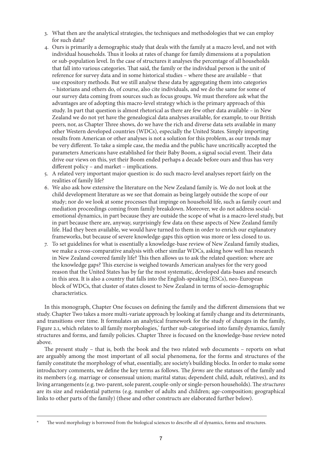- 3. What then are the analytical strategies, the techniques and methodologies that we can employ for such data?
- 4. Ours is primarily a demographic study that deals with the family at a macro level, and not with individual households. Thus it looks at rates of change for family dimensions at a population or sub-population level. In the case of structures it analyses the percentage of all households that fall into various categories. That said, the family or the individual person is the unit of reference for survey data and in some historical studies – where these are available – that use expository methods. But we still analyse these data by aggregating them into categories – historians and others do, of course, also cite individuals, and we do the same for some of our survey data coming from sources such as focus groups. We must therefore ask what the advantages are of adopting this macro-level strategy which is the primary approach of this study. In part that question is almost rhetorical as there are few other data available – in New Zealand we do not yet have the genealogical data analyses available, for example, to our British peers, nor, as Chapter Three shows, do we have the rich and diverse data sets available in many other Western developed countries (WDCs), especially the United States. Simply importing results from American or other analyses is not a solution for this problem, as our trends may be very different. To take a simple case, the media and the public have uncritically accepted the parameters Americans have established for their Baby Boom, a signal social event. Their data drive our views on this, yet their Boom ended perhaps a decade before ours and thus has very different policy – and market – implications.
- 5. A related very important major question is: do such macro-level analyses report fairly on the realities of family life?
- 6. We also ask how extensive the literature on the New Zealand family is. We do not look at the child development literature as we see that domain as being largely outside the scope of our study; nor do we look at some processes that impinge on household life, such as family court and mediation proceedings coming from family breakdown. Moreover, we do not address socialemotional dynamics, in part because they are outside the scope of what is a macro-level study, but in part because there are, anyway, surprisingly few data on these aspects of New Zealand family life. Had they been available, we would have turned to them in order to enrich our explanatory frameworks, but because of severe knowledge-gaps this option was more or less closed to us.
- 7. To set guidelines for what is essentially a knowledge-base review of New Zealand family studies, we make a cross-comparative analysis with other similar WDCs, asking how well has research in New Zealand covered family life? This then allows us to ask the related question: where are the knowledge gaps? This exercise is weighed towards American analyses for the very good reason that the United States has by far the most systematic, developed data-bases and research in this area. It is also a country that falls into the English-speaking (ESCs), neo-European block of WDCs, that cluster of states closest to New Zealand in terms of socio-demographic characteristics.

In this monograph, Chapter One focuses on defining the family and the different dimensions that we study. Chapter Two takes a more multi-variate approach by looking at family change and its determinants, and transitions over time. It formulates an analytical framework for the study of changes in the family, Figure 2.1, which relates to all family morphologies, further sub-categorised into family dynamics, family structures and forms, and family policies. Chapter Three is focused on the knowledge-base review noted above.

The present study – that is, both the book and the two related web documents – reports on what are arguably among the most important of all social phenomena, for the forms and structures of the family constitute the morphology of what, essentially, are society's building blocks. In order to make some introductory comments, we define the key terms as follows. The *forms* are the statuses of the family and its members (e.g. marriage or consensual union; marital status; dependent child, adult, relatives), and its living arrangements (e.g. two-parent, sole parent, couple-only or single-person households). The *structures* are its size and residential patterns (e.g. number of adults and children; age-composition; geographical links to other parts of the family) (these and other constructs are elaborated further below).

The word morphology is borrowed from the biological sciences to describe all of dynamics, forms and structures.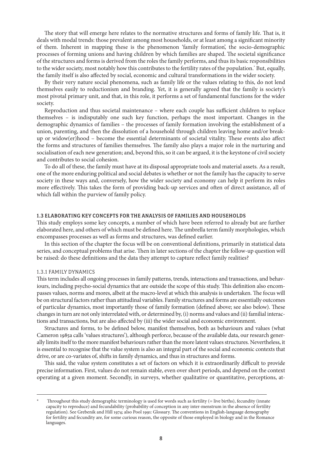The story that will emerge here relates to the normative structures and forms of family life. That is, it deals with modal trends: those prevalent among most households, or at least among a significant minority of them. Inherent in mapping these is the phenomenon 'family formation', the socio-demographic processes of forming unions and having children by which families are shaped. The societal significance of the structures and forms is derived from the roles the family performs, and thus its basic responsibilities to the wider society, most notably how this contributes to the fertility rates of the population.<sup>\*</sup> But, equally, the family itself is also affected by social, economic and cultural transformations in the wider society.

By their very nature social phenomena, such as family life or the values relating to this, do not lend themselves easily to reductionism and branding. Yet, it is generally agreed that the family is society's most pivotal primary unit, and that, in this role, it performs a set of fundamental functions for the wider society.

Reproduction and thus societal maintenance – where each couple has sufficient children to replace themselves – is indisputably one such key function, perhaps the most important. Changes in the demographic dynamics of families – the processes of family formation involving the establishment of a union, parenting, and then the dissolution of a household through children leaving home and/or breakup or widow(er)hood – become the essential determinants of societal vitality. These events also affect the forms and structures of families themselves. The family also plays a major role in the nurturing and socialisation of each new generation; and, beyond this, so it can be argued, it is the keystone of civil society and contributes to social cohesion.

To do all of these, the family must have at its disposal appropriate tools and material assets. As a result, one of the more enduring political and social debates is whether or not the family has the capacity to serve society in these ways and, conversely, how the wider society and economy can help it perform its roles more effectively. This takes the form of providing back-up services and often of direct assistance, all of which fall within the purview of family policy.

#### 1.3 Elaborating Key Concepts for the Analysis of Families and Households

This study employs some key concepts, a number of which have been referred to already but are further elaborated here, and others of which must be defined here. The umbrella term family morphologies, which encompasses processes as well as forms and structures, was defined earlier.

In this section of the chapter the focus will be on conventional definitions, primarily in statistical data series, and conceptual problems that arise. Then in later sections of the chapter the follow-up question will be raised: do these definitions and the data they attempt to capture reflect family realities?

#### 1.3.1 Family Dynamics

This term includes all ongoing processes in family patterns, trends, interactions and transactions, and behaviours, including psycho-social dynamics that are outside the scope of this study. This definition also encompasses values, norms and mores, albeit at the macro-level at which this analysis is undertaken. The focus will be on structural factors rather than attitudinal variables. Family structures and forms are essentially outcomes of particular dynamics, most importantly those of family formation (defined above; see also below). These changes in turn are not only interrelated with, or determined by, (i) norms and values and (ii) familial interactions and transactions, but are also affected by (iii) the wider social and economic environment.

Structures and forms, to be defined below, manifest themselves, both as behaviours and values (what Cameron 1985a calls 'values structures'), although perforce, because of the available data, our research generally limits itself to the more manifest behaviours rather than the more latent values structures. Nevertheless, it is essential to recognise that the value system is also an integral part of the social and economic contexts that drive, or are co-variates of, shifts in family dynamics, and thus in structures and forms.

This said, the value system constitutes a set of factors on which it is extraordinarily difficult to provide precise information. First, values do not remain stable, even over short periods, and depend on the context operating at a given moment. Secondly, in surveys, whether qualitative or quantitative, perceptions, at-

Throughout this study demographic terminology is used for words such as fertility (= live births), fecundity (innate capacity to reproduce) and fecundability (probability of conception in any inter-menstrum in the absence of fertility regulation). See Grebenik and Hill 1974; also Pool 1991: Glossary. The conventions in English-language demography for fertility and fecundity are, for some curious reason, the opposite of those employed in biology and in the Romance languages.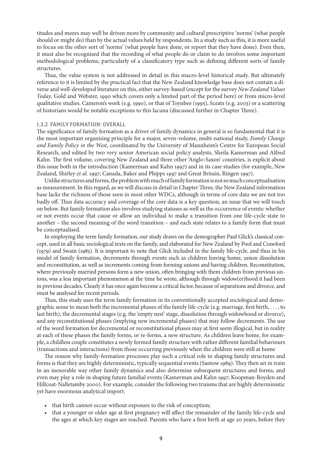titudes and mores may well be driven more by community and cultural prescriptive 'norms' (what people should or might do) than by the actual values held by respondents. In a study such as this, it is more useful to focus on the other sort of 'norms' (what people have done, or report that they have done). Even then, it must also be recognised that the recording of what people do or claim to do involves some important methodological problems, particularly of a classificatory type such as defining different sorts of family structures.

Thus, the value system is not addressed in detail in this macro-level historical study. But ultimately reference to it is limited by the practical fact that the New Zealand knowledge base does not contain a diverse and well-developed literature on this, either survey-based (except for the survey *New Zealand Values Today*, Gold and Webster, 1990 which covers only a limited part of the period here) or from micro-level qualitative studies. Cameron's work (e.g. 1990), or that of Toynbee (1995), Sceats (e.g. 2003) or a scattering of historians would be notable exceptions to this lacuna (discussed further in Chapter Three).

#### 1.3.2 Family Formation: Overall

The significance of family formation as a driver of family dynamics in general is so fundamental that it is the most important organising principle for a major, seven-volume, multi-national study, *Family Change and Family Policy in the West*, coordinated by the University of Mannheim's Centre for European Social Research, and edited by two very senior American social policy analysts, Sheila Kamerman and Alfred Kahn. The first volume, covering New Zealand and three other 'Anglo-Saxon' countries, is explicit about this issue both in the introduction (Kamerman and Kahn 1997) and in its case studies (for example, New Zealand, Shirley *et al.* 1997; Canada, Baker and Phipps 1997 and Great Britain, Ringen 1997).

Unlike structures and forms, the problem with much of family formation is not so much conceptualisation as measurement. In this regard, as we will discuss in detail in Chapter Three, the New Zealand information base lacks the richness of those seen in most other WDCs, although in terms of core data we are not too badly off. Thus data accuracy and coverage of the core data is a key question, an issue that we will touch on below. But family formation also involves studying statuses as well as the occurrence of events: whether or not events occur that cause or allow an individual to make a transition from one life-cycle state to another – the second meaning of the word transition – and each state relates to a family form that must be conceptualised.

In employing the term family formation, our study draws on the demographer Paul Glick's classical concept, used in all basic sociological texts on the family, and elaborated for New Zealand by Pool and Crawford (1979) and Swain (1985). It is important to note that Glick included in the family life-cycle, and thus in his model of family formation, decrements through events such as children leaving home, union dissolution and reconstitution, as well as increments coming from forming unions and having children. Reconstitution, where previously married persons form a new union, often bringing with them children from previous unions, was a less important phenomenon at the time he wrote, although through widow(er)hood it had been in previous decades. Clearly it has once again become a critical factor, because of separations and divorce, and must be analysed for recent periods.

Thus, this study uses the term family formation in its conventionally accepted sociological and demographic sense to mean both the incremental phases of the family life-cycle (e.g. marriage, first birth, . . . , to last birth), the decremental stages (e.g. the 'empty nest' stage, dissolution through widowhood or divorce), and any reconstitutional phases (implying new incremental phases) that may follow decrements. The use of the word formation for decremental or reconstitutional phases may at first seem illogical, but in reality at each of these phases the family forms, or re-forms, a new structure. As children leave home, for example, a childless couple constitutes a newly formed family structure with rather different familial behaviours (transactions and interactions) from those occurring previously when the children were still at home

The reason why family-formation processes play such a critical role in shaping family structures and forms is that they are highly deterministic, typically sequential events (Santow 1989). They then set in train in an inexorable way other family dynamics and also determine subsequent structures and forms, and even may play a role in shaping future familial events (Kamerman and Kahn 1997; Koopman-Boyden and Hillcoat-Nalletamby 2000). For example, consider the following two truisms that are highly deterministic yet have enormous analytical import:

- that birth cannot occur without exposure to the risk of conception;
- that a younger or older age at first pregnancy will affect the remainder of the family life-cycle and the ages at which key stages are reached. Parents who have a first birth at age 20 years, before they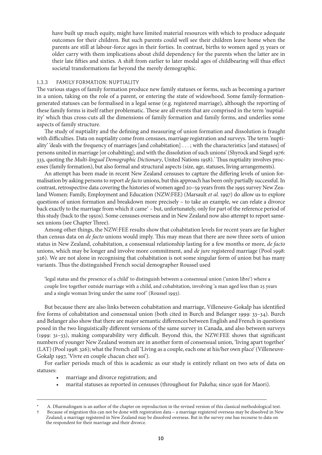have built up much equity, might have limited material resources with which to produce adequate outcomes for their children. But such parents could well see their children leave home when the parents are still at labour-force ages in their forties. In contrast, births to women aged 35 years or older carry with them implications about child dependency for the parents when the latter are in their late fifties and sixties. A shift from earlier to later modal ages of childbearing will thus effect societal transformations far beyond the merely demographic.

#### 1.3.3 Family Formation: Nuptiality

The various stages of family formation produce new family statuses or forms, such as becoming a partner in a union, taking on the role of a parent, or entering the state of widowhood. Some family-formationgenerated statuses can be formalised in a legal sense (e.g. registered marriage), although the reporting of these family forms is itself rather problematic. These are all events that are comprised in the term 'nuptiality' which thus cross-cuts all the dimensions of family formation and family forms, and underlies some aspects of family structure.

The study of nuptiality and the defining and measuring of union formation and dissolution is fraught with difficulties. Data on nuptiality come from censuses, marriage registration and surveys. The term 'nuptiality' 'deals with the frequency of marriages [and cohabitation] . . . ; with the characteristics [and statuses] of persons united in marriage [or cohabiting]; and with the dissolution of such unions' (Shyrock and Siegel 1976: 333, quoting the *Multi-lingual Demographic Dictionary*, United Nations 1958). Thus nuptiality involves processes (family formation), but also formal and structural aspects (size, age, statuses, living arrangements).

An attempt has been made in recent New Zealand censuses to capture the differing levels of union formalisation by asking persons to report *de facto* unions, but this approach has been only partially successful. In contrast, retrospective data covering the histories of women aged 20–59 years from the 1995 survey New Zealand Women: Family, Employment and Education (NZW:FEE) (Marsault *et al.* 1997) do allow us to explore questions of union formation and breakdown more precisely – to take an example, we can relate a divorce back exactly to the marriage from which it came<sup>†</sup> – but, unfortunately, only for part of the reference period of this study (back to the 1950s). Some censuses overseas and in New Zealand now also attempt to report samesex unions (see Chapter Three).

Among other things, the NZW:FEE results show that cohabitation levels for recent years are far higher than census data on *de facto* unions would imply. This may mean that there are now three sorts of union status in New Zealand, cohabitation, a consensual relationship lasting for a few months or more, *de facto* unions, which may be longer and involve more commitment, and *de jure* registered marriage (Pool 1998: 326). We are not alone in recognising that cohabitation is not some singular form of union but has many variants. Thus the distinguished French social demographer Roussel used

'legal status and the presence of a child' to distinguish between a consensual union ('union libre') where a couple live together outside marriage with a child, and cohabitation, involving 'a man aged less than 25 years and a single woman living under the same roof' (Roussel 1993).

But because there are also links between cohabitation and marriage, Villeneuve-Gokalp has identified five forms of cohabitation and consensual union (both cited in Burch and Belanger 1999: 33–34). Burch and Belanger also show that there are major semantic differences between English and French in questions posed in the two linguistically different versions of the same survey in Canada, and also between surveys (1999: 31–33), making comparability very difficult. Beyond this, the NZW:FEE shows that significant numbers of younger New Zealand women are in another form of consensual union, 'living apart together' (LAT) (Pool 1998: 326); what the French call 'Living as a couple, each one at his/her own place' (Villeneuve-Gokalp 1997, 'Vivre en couple chacun chez soi').

For earlier periods much of this is academic as our study is entirely reliant on two sets of data on statuses:

- marriage and divorce registration; and
- marital statuses as reported in censuses (throughout for Pakeha; since 1926 for Maori).

A. Dharmalingam is an author of the chapter on reproduction in the revised version of this classical methodological text. Because of migration this can not be done with registration data – a marriage registered overseas may be dissolved in New Zealand; a marriage registered in New Zealand may be dissolved overseas. But in the survey one has recourse to data on the respondent for their marriage and their divorce.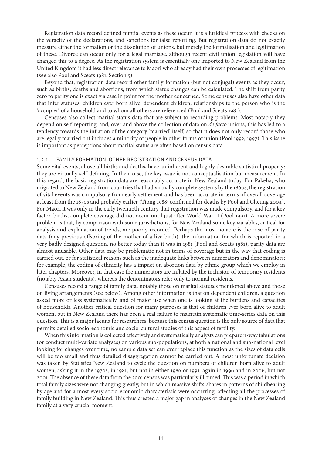Registration data record defined nuptial events as these occur. It is a juridical process with checks on the veracity of the declarations, and sanctions for false reporting. But registration data do not exactly measure either the formation or the dissolution of unions, but merely the formalisation and legitimation of these. Divorce can occur only for a legal marriage, although recent civil union legislation will have changed this to a degree. As the registration system is essentially one imported to New Zealand from the United Kingdom it had less direct relevance to Maori who already had their own processes of legitimation (see also Pool and Sceats 1981: Section 5).

Beyond that, registration data record other family-formation (but not conjugal) events as they occur, such as births, deaths and abortions, from which status changes can be calculated. The shift from parity zero to parity one is exactly a case in point for the mother concerned. Some censuses also have other data that infer statuses: children ever born alive; dependent children; relationships to the person who is the 'occupier' of a household and to whom all others are referenced (Pool and Sceats 1981).

Censuses also collect marital status data that are subject to recording problems. Most notably they depend on self-reporting, and, over and above the collection of data on *de facto* unions, this has led to a tendency towards the inflation of the category 'married' itself, so that it does not only record those who are legally married but includes a minority of people in other forms of union (Pool 1992, 1997). This issue is important as perceptions about marital status are often based on census data.

#### 1.3.4 Family Formation: Other Registration and Census Data

Some vital events, above all births and deaths, have an inherent and highly desirable statistical property: they are virtually self-defining. In their case, the key issue is not conceptualisation but measurement. In this regard, the basic registration data are reasonably accurate in New Zealand today. For Pakeha, who migrated to New Zealand from countries that had virtually complete systems by the 1860s, the registration of vital events was compulsory from early settlement and has been accurate in terms of overall coverage at least from the 1870s and probably earlier (Tiong 1988; confirmed for deaths by Pool and Cheung 2004). For Maori it was only in the early twentieth century that registration was made compulsory, and for a key factor, births, complete coverage did not occur until just after World War II (Pool 1991). A more severe problem is that, by comparison with some jurisdictions, for New Zealand some key variables, critical for analysis and explanation of trends, are poorly recorded. Perhaps the most notable is the case of parity data (any previous offspring of the mother of a live birth), the information for which is reported in a very badly designed question, no better today than it was in 1981 (Pool and Sceats 1981); parity data are almost unusable. Other data may be problematic not in terms of coverage but in the way that coding is carried out, or for statistical reasons such as the inadequate links between numerators and denominators; for example, the coding of ethnicity has a impact on abortion data by ethnic group which we employ in later chapters. Moreover, in that case the numerators are inflated by the inclusion of temporary residents (notably Asian students), whereas the denominators refer only to normal residents.

Censuses record a range of family data, notably those on marital statuses mentioned above and those on living arrangements (see below). Among other information is that on dependent children, a question asked more or less systematically, and of major use when one is looking at the burdens and capacities of households. Another critical question for many purposes is that of children ever born alive to adult women, but in New Zealand there has been a real failure to maintain systematic time-series data on this question. This is a major lacuna for researchers, because this census question is the only source of data that permits detailed socio-economic and socio-cultural studies of this aspect of fertility.

When this information is collected effectively and systematically analysts can prepare n-way tabulations (or conduct multi-variate analyses) on various sub-populations, at both a national and sub-national level looking for changes over time; no sample data set can ever replace this function as the sizes of data cells will be too small and thus detailed disaggregation cannot be carried out. A most unfortunate decision was taken by Statistics New Zealand to cycle the question on numbers of children born alive to adult women, asking it in the 1970s, in 1981, but not in either 1986 or 1991, again in 1996 and in 2006, but not 2001. The absence of these data from the 2001 census was particularly ill-timed. This was a period in which total family sizes were not changing greatly, but in which massive shifts-shares in patterns of childbearing by age and for almost every socio-economic characteristic were occurring, affecting all the processes of family building in New Zealand. This thus created a major gap in analyses of changes in the New Zealand family at a very crucial moment.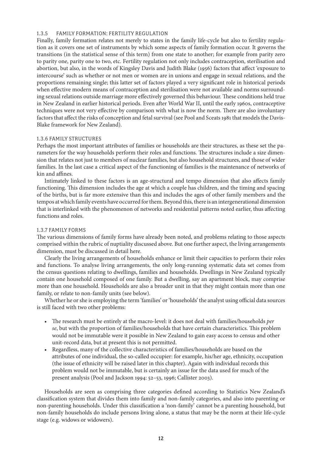### 1.3.5 Family Formation: Fertility Regulation

Finally, family formation relates not merely to states in the family life-cycle but also to fertility regulation as it covers one set of instruments by which some aspects of family formation occur. It governs the transitions (in the statistical sense of this term) from one state to another; for example from parity zero to parity one, parity one to two, etc. Fertility regulation not only includes contraception, sterilisation and abortion, but also, in the words of Kingsley Davis and Judith Blake (1956) factors that affect 'exposure to intercourse' such as whether or not men or women are in unions and engage in sexual relations, and the proportions remaining single; this latter set of factors played a very significant role in historical periods when effective modern means of contraception and sterilisation were not available and norms surrounding sexual relations outside marriage more effectively governed this behaviour. These conditions held true in New Zealand in earlier historical periods. Even after World War II, until the early 1960s, contraceptive techniques were not very effective by comparison with what is now the norm. There are also involuntary factors that affect the risks of conception and fetal survival (see Pool and Sceats 1981 that models the Davis-Blake framework for New Zealand).

#### 1.3.6 Family Structures

Perhaps the most important attributes of families or households are their structures, as these set the parameters for the way households perform their roles and functions. The structures include a size dimension that relates not just to members of nuclear families, but also household structures, and those of wider families. In the last case a critical aspect of the functioning of families is the maintenance of networks of kin and affines.

Intimately linked to these factors is an age-structural and tempo dimension that also affects family functioning. This dimension includes the age at which a couple has children, and the timing and spacing of the births, but is far more extensive than this and includes the ages of other family members and the tempos at which family events have occurred for them. Beyond this, there is an intergenerational dimension that is interlinked with the phenomenon of networks and residential patterns noted earlier, thus affecting functions and roles.

## 1.3.7 Family Forms

The various dimensions of family forms have already been noted, and problems relating to those aspects comprised within the rubric of nuptiality discussed above. But one further aspect, the living arrangements dimension, must be discussed in detail here.

Clearly the living arrangements of households enhance or limit their capacities to perform their roles and functions. To analyse living arrangements, the only long-running systematic data set comes from the census questions relating to dwellings, families and households. Dwellings in New Zealand typically contain one household composed of one family. But a dwelling, say an apartment block, may comprise more than one household. Households are also a broader unit in that they might contain more than one family, or relate to non-family units (see below).

Whether he or she is employing the term 'families' or 'households' the analyst using official data sources is still faced with two other problems:

- The research must be entirely at the macro-level: it does not deal with families/households *per se*, but with the proportion of families/households that have certain characteristics. This problem would not be immutable were it possible in New Zealand to gain easy access to census and other unit-record data, but at present this is not permitted.
- Regardless, many of the collective characteristics of families/households are based on the attributes of one individual, the so-called occupier: for example, his/her age, ethnicity, occupation (the issue of ethnicity will be raised later in this chapter). Again with individual records this problem would not be immutable, but is certainly an issue for the data used for much of the present analysis (Pool and Jackson 1994: 52–53, 1996; Callister 2003).

Households are seen as comprising three categories defined according to Statistics New Zealand's classification system that divides them into family and non-family categories, and also into parenting or non-parenting households. Under this classification a 'non-family' cannot be a parenting household, but non-family households do include persons living alone, a status that may be the norm at their life-cycle stage (e.g. widows or widowers).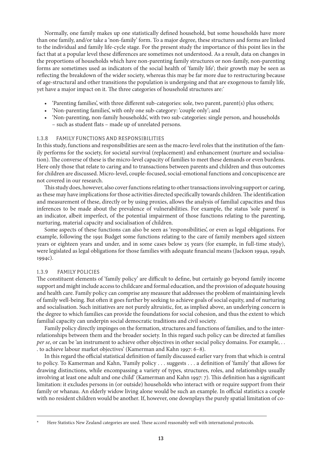Normally, one family makes up one statistically defined household, but some households have more than one family, and/or take a 'non-family' form. To a major degree, these structures and forms are linked to the individual and family life-cycle stage. For the present study the importance of this point lies in the fact that at a popular level these differences are sometimes not understood. As a result, data on changes in the proportions of households which have non-parenting family structures or non-family, non-parenting forms are sometimes used as indicators of the social health of 'family life'; their growth may be seen as reflecting the breakdown of the wider society, whereas this may be far more due to restructuring because of age-structural and other transitions the population is undergoing and that are exogenous to family life, yet have a major impact on it. The three categories of household structures are:

- 'Parenting families', with three different sub-categories: sole, two parent, parent(s) plus others;
- 'Non-parenting families', with only one sub-category: 'couple only'; and
- 'Non-parenting, non-family households', with two sub-categories: single person, and households – such as student flats – made up of unrelated persons.

#### 1.3.8 Family Functions and Responsibilities

In this study, functions and responsibilities are seen as the macro-level roles that the institution of the family performs for the society, for societal survival (replacement) and enhancement (nurture and socialisation). The converse of these is the micro-level capacity of families to meet these demands or even burdens. Here only those that relate to caring and to transactions between parents and children and thus outcomes for children are discussed. Micro-level, couple-focused, social-emotional functions and concupiscence are not covered in our research.

This study does, however, also cover functions relating to other transactions involving support or caring, as these may have implications for those activities directed specifically towards children. The identification and measurement of these, directly or by using proxies, allows the analysis of familial capacities and thus inferences to be made about the prevalence of vulnerabilities. For example, the status 'sole parent' is an indicator, albeit imperfect, of the potential impairment of those functions relating to the parenting, nurturing, material capacity and socialisation of children.

Some aspects of these functions can also be seen as 'responsibilities', or even as legal obligations. For example, following the 1991 Budget some functions relating to the care of family members aged sixteen years or eighteen years and under, and in some cases below 25 years (for example, in full-time study), were legislated as legal obligations for those families with adequate financial means (Jackson 1994a, 1994b, 1994c).

#### 1.3.9 Family Policies

The constituent elements of 'family policy' are difficult to define, but certainly go beyond family income support and might include access to childcare and formal education, and the provision of adequate housing and health care. Family policy can comprise any measure that addresses the problem of maintaining levels of family well-being. But often it goes further by seeking to achieve goals of social equity, and of nurturing and socialisation. Such initiatives are not purely altruistic, for, as implied above, an underlying concern is the degree to which families can provide the foundations for social cohesion, and thus the extent to which familial capacity can underpin social democratic traditions and civil society.

Family policy directly impinges on the formation, structures and functions of families, and to the interrelationships between them and the broader society. In this regard such policy can be directed at families *per se*, or can be 'an instrument to achieve other objectives in other social policy domains. For example, . . . to achieve labour market objectives' (Kamerman and Kahn 1997: 6–8).

In this regard the official statistical definition of family discussed earlier vary from that which is central to policy. To Kamerman and Kahn, 'Family policy . . . suggests . . . a definition of 'family' that allows for drawing distinctions, while encompassing a variety of types, structures, roles, and relationships usually involving at least one adult and one child' (Kamerman and Kahn 1997: 7). This definition has a significant limitation: it excludes persons in (or outside) households who interact with or require support from their family or whanau. An elderly widow living alone would be such an example. In official statistics a couple with no resident children would be another. If, however, one downplays the purely spatial limitation of co-

Here Statistics New Zealand categories are used. These accord reasonably well with international protocols.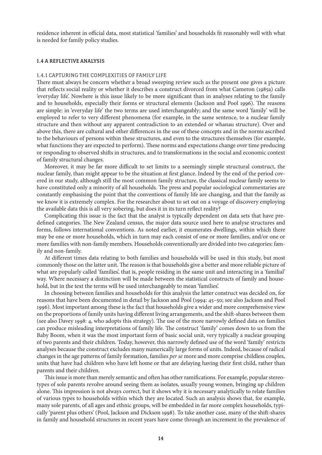residence inherent in official data, most statistical 'families' and households fit reasonably well with what is needed for family policy studies.

#### 1.4 A Reflective Analysis

# 1.4.1 Capturing the Complexities of Family Life

There must always be concern whether a broad sweeping review such as the present one gives a picture that reflects social reality or whether it describes a construct divorced from what Cameron (1985a) calls 'everyday life'. Nowhere is this issue likely to be more significant than in analyses relating to the family and to households, especially their forms or structural elements (Jackson and Pool 1996). The reasons are simple: in 'everyday life' the two terms are used interchangeably; and the same word 'family' will be employed to refer to very different phenomena (for example, in the same sentence, to a nuclear family structure and then without any apparent contradiction to an extended or whanau structure). Over and above this, there are cultural and other differences in the use of these concepts and in the norms ascribed to the behaviours of persons within these structures, and even to the structures themselves (for example, what functions they are expected to perform). These norms and expectations change over time producing or responding to observed shifts in structures, and to transformations in the social and economic context of family structural changes.

Moreover, it may be far more difficult to set limits to a seemingly simple structural construct, the nuclear family, than might appear to be the situation at first glance. Indeed by the end of the period covered in our study, although still the most common family structure, the classical nuclear family seems to have constituted only a minority of all households. The press and popular sociological commentaries are constantly emphasising the point that the conventions of family life are changing, and that the family as we know it is extremely complex. For the researcher about to set out on a voyage of discovery employing the available data this is all very sobering, but does it in its turn reflect reality?

Complicating this issue is the fact that the analyst is typically dependent on data sets that have predefined categories. The New Zealand census, the major data source used here to analyse structures and forms, follows international conventions. As noted earlier, it enumerates dwellings, within which there may be one or more households, which in turn may each consist of one or more families, and/or one or more families with non-family members. Households conventionally are divided into two categories: family and non-family.

At different times data relating to both families and households will be used in this study, but most commonly those on the latter unit. The reason is that households give a better and more reliable picture of what are popularly called 'families', that is, people residing in the same unit and interacting in a 'familial' way. Where necessary a distinction will be made between the statistical constructs of family and household, but in the text the terms will be used interchangeably to mean 'families'.

In choosing between families and households for this analysis the latter construct was decided on, for reasons that have been documented in detail by Jackson and Pool (1994: 45–50; see also Jackson and Pool 1996). Most important among these is the fact that households give a wider and more comprehensive view on the proportions of family units having different living arrangements, and the shift-shares between them (see also Davey 1998: 4, who adopts this strategy). The use of the more narrowly defined data on families can produce misleading interpretations of family life. The construct 'family' comes down to us from the Baby Boom, when it was the most important form of basic social unit, very typically a nuclear grouping of two parents and their children. Today, however, this narrowly defined use of the word 'family' restricts analyses because the construct excludes many numerically large forms of units. Indeed, because of radical changes in the age patterns of family formation, families *per se* more and more comprise childless couples, units that have had children who have left home or that are delaying having their first child, rather than parents and their children.

This issue is more than merely semantic and often has other ramifications. For example, popular stereotypes of sole parents revolve around seeing them as isolates, usually young women, bringing up children alone. This impression is not always correct, but it shows why it is necessary analytically to relate families of various types to households within which they are located. Such an analysis shows that, for example, many sole parents, of all ages and ethnic groups, will be embedded in far more complex households, typically 'parent plus others' (Pool, Jackson and Dickson 1998). To take another case, many of the shift-shares in family and household structures in recent years have come through an increment in the prevalence of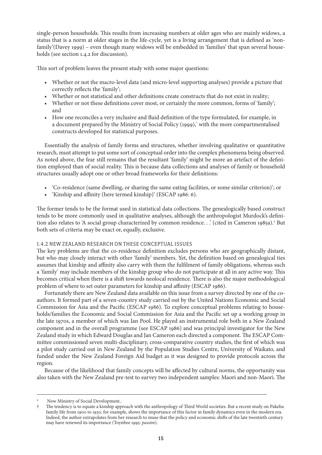single-person households. This results from increasing numbers at older ages who are mainly widows, a status that is a norm at older stages in the life-cycle, yet is a living arrangement that is defined as 'nonfamily'(Davey 1999) – even though many widows will be embedded in 'families' that span several households (see section 1.4.2 for discussion).

This sort of problem leaves the present study with some major questions:

- Whether or not the macro-level data (and micro-level supporting analyses) provide a picture that correctly reflects the 'family';
- Whether or not statistical and other definitions create constructs that do not exist in reality;
- Whether or not these definitions cover most, or certainly the more common, forms of 'family'; and
- How one reconciles a very inclusive and fluid definition of the type formulated, for example, in a document prepared by the Ministry of Social Policy (1999), with the more compartmentalised constructs developed for statistical purposes.

Essentially the analysis of family forms and structures, whether involving qualitative or quantitative research, must attempt to put some sort of conceptual order into the complex phenomena being observed. As noted above, the fear still remains that the resultant 'family' might be more an artefact of the definition employed than of social reality. This is because data collections and analyses of family or household structures usually adopt one or other broad frameworks for their definitions:

- 'Co-residence (same dwelling, or sharing the same eating facilities, or some similar criterion)'; or
- 'Kinship and affinity (here termed kinship)' (ESCAP 1986: 6).

The former tends to be the format used in statistical data collections. The genealogically based construct tends to be more commonly used in qualitative analyses, although the anthropologist Murdock's definition also relates to 'A social group characterized by common residence. . .' (cited in Cameron 1985a).† But both sets of criteria may be exact or, equally, exclusive.

# 1.4.2 New Zealand Research on these Conceptual Issues

The key problems are that the co-residence definition excludes persons who are geographically distant, but who may closely interact with other 'family' members. Yet, the definition based on genealogical ties assumes that kinship and affinity also carry with them the fulfilment of family obligations, whereas such a 'family' may include members of the kinship group who do not participate at all in any active way. This becomes critical when there is a shift towards neolocal residence. There is also the major methodological problem of where to set outer parameters for kinship and affinity (ESCAP 1986).

Fortunately there are New Zealand data available on this issue from a survey directed by one of the coauthors. It formed part of a seven-country study carried out by the United Nations Economic and Social Commission for Asia and the Pacific (ESCAP 1986). To explore conceptual problems relating to households/families the Economic and Social Commission for Asia and the Pacific set up a working group in the late 1970s, a member of which was Ian Pool. He played an instrumental role both in a New Zealand component and in the overall programme (see ESCAP 1986) and was principal investigator for the New Zealand study in which Edward Douglas and Jan Cameron each directed a component. The ESCAP Committee commissioned seven multi-disciplinary, cross-comparative country studies, the first of which was a pilot study carried out in New Zealand by the Population Studies Centre, University of Waikato, and funded under the New Zealand Foreign Aid budget as it was designed to provide protocols across the region.

Because of the likelihood that family concepts will be affected by cultural norms, the opportunity was also taken with the New Zealand pre-test to survey two independent samples: Maori and non-Maori. The

<sup>\*</sup> Now Ministry of Social Development..<br>The tendency is to equate a kinship approximate

The tendency is to equate a kinship approach with the anthropology of Third World societies. But a recent study on Pakeha family life from 1900 to 1930, for example, shows the importance of this factor in family dynamics even in the modern era. Indeed, the author extrapolates from her research to muse that the policy and economic shifts of the late twentieth century may have renewed its importance (Toynbee 1995: *passim*).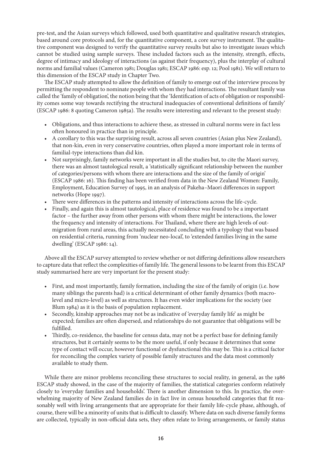pre-test, and the Asian surveys which followed, used both quantitative and qualitative research strategies, based around core protocols and, for the quantitative component, a core survey instrument. The qualitative component was designed to verify the quantitative survey results but also to investigate issues which cannot be studied using sample surveys. These included factors such as the intensity, strength, effects, degree of intimacy and ideology of interactions (as against their frequency), plus the interplay of cultural norms and familial values (Cameron 1981; Douglas 1981; ESCAP 1986: esp. 12; Pool 1981). We will return to this dimension of the ESCAP study in Chapter Two.

The ESCAP study attempted to allow the definition of family to emerge out of the interview process by permitting the respondent to nominate people with whom they had interactions. The resultant family was called the 'family of obligation', the notion being that the 'Identification of acts of obligation or responsibility comes some way towards rectifying the structural inadequacies of conventional definitions of family' (ESCAP 1986: 8 quoting Cameron 1985a). The results were interesting and relevant to the present study:

- Obligations, and thus interactions to achieve these, as stressed in cultural norms were in fact less often honoured in practice than in principle.
- A corollary to this was the surprising result, across all seven countries (Asian plus New Zealand), that non-kin, even in very conservative countries, often played a more important role in terms of familial-type interactions than did kin.
- Not surprisingly, family networks were important in all the studies but, to cite the Maori survey, there was an almost tautological result, a 'statistically significant relationship between the number of categories/persons with whom there are interactions and the size of the family of origin' (ESCAP 1986: 16). This finding has been verified from data in the New Zealand Women: Family, Employment, Education Survey of 1995, in an analysis of Pakeha–Maori differences in support networks (Hope 1997).
- There were differences in the patterns and intensity of interactions across the life-cycle.
- Finally, and again this is almost tautological, place of residence was found to be a important factor – the further away from other persons with whom there might be interactions, the lower the frequency and intensity of interactions. For Thailand, where there are high levels of outmigration from rural areas, this actually necessitated concluding with a typology that was based on residential criteria, running from 'nuclear neo-local', to 'extended families living in the same dwelling' (ESCAP 1986: 14).

Above all the ESCAP survey attempted to review whether or not differing definitions allow researchers to capture data that reflect the complexities of family life. The general lessons to be learnt from this ESCAP study summarised here are very important for the present study:

- First, and most importantly, family formation, including the size of the family of origin (i.e. how many siblings the parents had) is a critical determinant of other family dynamics (both macrolevel and micro-level) as well as structures. It has even wider implications for the society (see Blum 1984) as it is the basis of population replacement.
- Secondly, kinship approaches may not be as indicative of 'everyday family life' as might be expected; families are often dispersed, and relationships do not guarantee that obligations will be fulfilled.
- Thirdly, co-residence, the baseline for census data, may not be a perfect base for defining family structures, but it certainly seems to be the more useful, if only because it determines that some type of contact will occur, however functional or dysfunctional this may be. This is a critical factor for reconciling the complex variety of possible family structures and the data most commonly available to study them.

While there are minor problems reconciling these structures to social reality, in general, as the 1986 ESCAP study showed, in the case of the majority of families, the statistical categories conform relatively closely to 'everyday families and households'. There is another dimension to this. In practice, the overwhelming majority of New Zealand families do in fact live in census household categories that fit reasonably well with living arrangements that are appropriate for their family life-cycle phase, although, of course, there will be a minority of units that is difficult to classify. Where data on such diverse family forms are collected, typically in non-official data sets, they often relate to living arrangements, or family status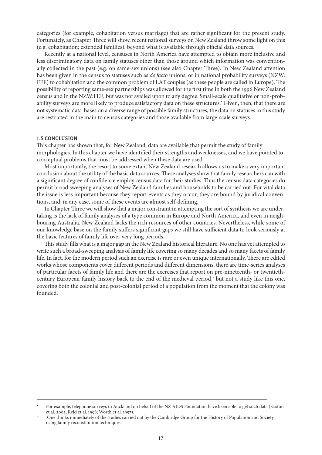categories (for example, cohabitation versus marriage) that are rather significant for the present study. Fortunately, as Chapter Three will show, recent national surveys on New Zealand throw some light on this (e.g. cohabitation; extended families), beyond what is available through official data sources.

Recently at a national level, censuses in North America have attempted to obtain more inclusive and less discriminatory data on family statuses other than those around which information was conventionally collected in the past (e.g. on same-sex unions) (see also Chapter Three). In New Zealand attention has been given in the census to statuses such as *de facto* unions; or in national probability surveys (NZW: FEE) to cohabitation and the common problem of LAT couples (as these people are called in Europe). The possibility of reporting same-sex partnerships was allowed for the first time in both the 1996 New Zealand census and in the NZW:FEE, but was not availed upon to any degree. Small-scale qualitative or non-probability surveys are more likely to produce satisfactory data on these structures. Given, then, that there are not systematic data-bases on a diverse range of possible family structures, the data on statuses in this study are restricted in the main to census categories and those available from large-scale surveys.

#### 1.5 Conclusion

This chapter has shown that, for New Zealand, data are available that permit the study of family morphologies. In this chapter we have identified their strengths and weaknesses, and we have pointed to conceptual problems that must be addressed when these data are used.

Most importantly, the resort to some extant New Zealand research allows us to make a very important conclusion about the utility of the basic data sources. These analyses show that family researchers can with a significant degree of confidence employ census data for their studies. Thus the census data categories do permit broad sweeping analyses of New Zealand families and households to be carried out. For vital data the issue is less important because they report events as they occur, they are bound by juridical conventions, and, in any case, some of these events are almost self-defining.

In Chapter Three we will show that a major constraint in attempting the sort of synthesis we are undertaking is the lack of family analyses of a type common in Europe and North America, and even in neighbouring Australia. New Zealand lacks the rich resources of other countries. Nevertheless, while some of our knowledge base on the family suffers significant gaps we still have sufficient data to look seriously at the basic features of family life over very long periods.

This study fills what is a major gap in the New Zealand historical literature. No one has yet attempted to write such a broad-sweeping analysis of family life covering so many decades and so many facets of family life. In fact, for the modern period such an exercise is rare or even unique internationally. There are edited works whose components cover different periods and different dimensions, there are time-series analyses of particular facets of family life and there are the exercises that report on pre-nineteenth- or twentiethcentury European family history back to the end of the medieval period,<sup>†</sup> but not a study like this one, covering both the colonial and post-colonial period of a population from the moment that the colony was founded.

For example, telephone surveys in Auckland on behalf of the NZ AIDS Foundation have been able to get such data (Saxton et al. 2002; Reid et al. 1998; Worth et al. 1997).

One thinks immediately of the studies carried out by the Cambridge Group for the History of Population and Society using family reconstitution techniques.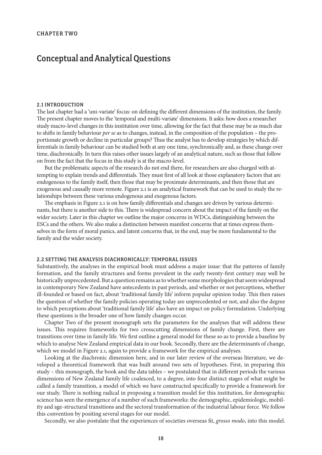# Conceptual and Analytical Questions

#### 2.1 Introduction

The last chapter had a 'uni-variate' focus: on defining the different dimensions of the institution, the family. The present chapter moves to the 'temporal and multi-variate' dimensions. It asks: how does a researcher study macro-level changes in this institution over time, allowing for the fact that these may be as much due to shifts in family behaviour *per se* as to changes, instead, in the composition of the population – the proportionate growth or decline in particular groups? Thus the analyst has to develop strategies by which differentials in family behaviour can be studied both at any one time, synchronically and, as these change over time, diachronically. In turn this raises other issues largely of an analytical nature, such as those that follow on from the fact that the focus in this study is at the macro-level.

But the problematic aspects of the research do not end there, for researchers are also charged with attempting to explain trends and differentials. They must first of all look at those explanatory factors that are endogenous to the family itself, then those that may be proximate determinants, and then those that are exogenous and causally more remote. Figure 2.1 is an analytical framework that can be used to study the relationships between these various endogenous and exogenous factors.

The emphasis in Figure 2.1 is on how family differentials and changes are driven by various determinants, but there is another side to this. There is widespread concern about the impact of the family on the wider society. Later in this chapter we outline the major concerns in WDCs, distinguishing between the ESCs and the others. We also make a distinction between manifest concerns that at times express themselves in the form of moral panics, and latent concerns that, in the end, may be more fundamental to the family and the wider society.

#### 2.2 Setting the Analysis Diachronically: Temporal Issues

Substantively, the analyses in the empirical book must address a major issue: that the patterns of family formation, and the family structures and forms prevalent in the early twenty-first century may well be historically unprecedented. But a question remains as to whether some morphologies that seem widespread in contemporary New Zealand have antecedents in past periods, and whether or not perceptions, whether ill-founded or based on fact, about 'traditional family life' inform popular opinion today. This then raises the question of whether the family policies operating today are unprecedented or not, and also the degree to which perceptions about 'traditional family life' also have an impact on policy formulation. Underlying these questions is the broader one of how family changes occur.

Chapter Two of the present monograph sets the parameters for the analyses that will address these issues. This requires frameworks for two crosscutting dimensions of family change. First, there are transitions over time in family life. We first outline a general model for these so as to provide a baseline by which to analyse New Zealand empirical data in our book. Secondly, there are the determinants of change, which we model in Figure 2.1, again to provide a framework for the empirical analyses.

Looking at the diachronic dimension here, and in our later review of the overseas literature, we developed a theoretical framework that was built around two sets of hypotheses. First, in preparing this study – this monograph, the book and the data tables – we postulated that in different periods the various dimensions of New Zealand family life coalesced, to a degree, into four distinct stages of what might be called a family transition, a model of which we have constructed specifically to provide a framework for our study. There is nothing radical in proposing a transition model for this institution, for demographic science has seen the emergence of a number of such frameworks: the demographic, epidemiologic, mobility and age-structural transitions and the sectoral transformation of the industrial labour force. We follow this convention by positing several stages for our model.

Secondly, we also postulate that the experiences of societies overseas fit, *grosso modo*, into this model.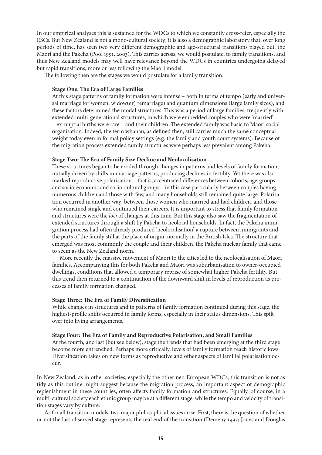In our empirical analyses this is sustained for the WDCs to which we constantly cross-refer, especially the ESCs. But New Zealand is not a mono-cultural society; it is also a demographic laboratory that, over long periods of time, has seen two very different demographic and age-structural transitions played out, the Maori and the Pakeha (Pool 1991, 2003). This carries across, we would postulate, to family transitions, and thus New Zealand models may well have relevance beyond the WDCs in countries undergoing delayed but rapid transitions, more or less following the Maori model.

The following then are the stages we would postulate for a family transition:

#### **Stage One: The Era of Large Families**

At this stage patterns of family formation were intense – both in terms of tempo (early and universal marriage for women; widow(er) remarriage) and quantum dimensions (large family sizes), and these factors determined the modal structures. This was a period of large families, frequently with extended multi-generational structures, in which were embedded couples who were 'married' – ex-nuptial births were rare – and their children. The extended family was basic to Maori social organisation. Indeed, the term whanau, as defined then, still carries much the same conceptual weight today even in formal policy settings (e.g. the family and youth court systems). Because of the migration process extended family structures were perhaps less prevalent among Pakeha.

#### **Stage Two: The Era of Family Size Decline and Neolocalisation**

These structures began to be eroded through changes in patterns and levels of family formation, initially driven by shifts in marriage patterns, producing declines in fertility. Yet there was also marked reproductive polarisation – that is, accentuated differences between cohorts, age-groups and socio-economic and socio-cultural groups – in this case particularly between couples having numerous children and those with few, and many households still remained quite large. Polarisation occurred in another way: between those women who married and had children, and those who remained single and continued their careers. It is important to stress that family formation and structures were the *loci* of changes at this time. But this stage also saw the fragmentation of extended structures through a shift by Pakeha to neolocal households. In fact, the Pakeha immigration process had often already produced 'neolocalisation', a rupture between immigrants and the parts of the family still at the place of origin, normally in the British Isles. The structure that emerged was most commonly the couple and their children, the Pakeha nuclear family that came to seem as the New Zealand norm.

More recently the massive movement of Maori to the cities led to the neolocalisation of Maori families. Accompanying this for both Pakeha and Maori was suburbanisation to owner-occupied dwellings, conditions that allowed a temporary reprise of somewhat higher Pakeha fertility. But this trend then returned to a continuation of the downward shift in levels of reproduction as processes of family formation changed.

#### **Stage Three: The Era of Family Diversification**

While changes in structures and in patterns of family formation continued during this stage, the highest-profile shifts occurred in family forms, especially in their status dimensions. This spilt over into living arrangements.

# **Stage Four: The Era of Family and Reproductive Polarisation, and Small Families**

At the fourth, and last (but see below), stage the trends that had been emerging at the third stage become more entrenched. Perhaps more critically, levels of family formation reach historic lows. Diversification takes on new forms as reproductive and other aspects of familial polarisation occur.

In New Zealand, as in other societies, especially the other neo-European WDCs, this transition is not as tidy as this outline might suggest because the migration process, an important aspect of demographic replenishment in these countries, often affects family formation and structures. Equally, of course, in a multi-cultural society each ethnic group may be at a different stage, while the tempo and velocity of transition stages vary by culture.

As for all transition models, two major philosophical issues arise. First, there is the question of whether or not the last observed stage represents the real end of the transition (Demeny 1997; Jones and Douglas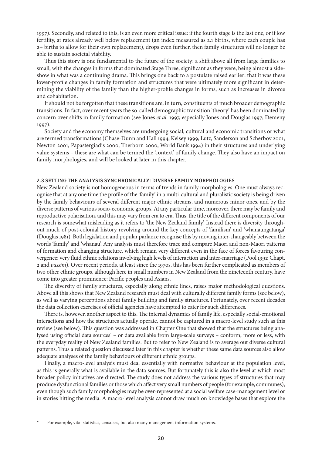1997). Secondly, and related to this, is an even more critical issue: if the fourth stage is the last one, or if low fertility, at rates already well below replacement (an index measured as 2.1 births, where each couple has 2+ births to allow for their own replacement), drops even further, then family structures will no longer be able to sustain societal viability.

Thus this story is one fundamental to the future of the society: a shift above all from large families to small, with the changes in forms that dominated Stage Three, significant as they were, being almost a sideshow in what was a continuing drama. This brings one back to a postulate raised earlier: that it was these lower-profile changes in family formation and structures that were ultimately more significant in determining the viability of the family than the higher-profile changes in forms, such as increases in divorce and cohabitation.

It should not be forgotten that these transitions are, in turn, constituents of much broader demographic transitions. In fact, over recent years the so-called demographic transition 'theory' has been dominated by concern over shifts in family formation (see Jones *et al.* 1997, especially Jones and Douglas 1997; Demeny 1997).

Society and the economy themselves are undergoing social, cultural and economic transitions or what are termed transformations (Chase-Dunn and Hall 1994; Kelsey 1999; Lutz, Sanderson and Scherbov 2001; Newton 2001; Papastergiadis 2000; Therborn 2000; World Bank 1994) in their structures and underlying value systems – these are what can be termed the 'context' of family change. They also have an impact on family morphologies, and will be looked at later in this chapter.

#### 2.3 Setting the Analysis Synchronically: Diverse Family Morphologies

New Zealand society is not homogeneous in terms of trends in family morphologies. One must always recognise that at any one time the profile of the 'family' in a multi-cultural and pluralistic society is being driven by the family behaviours of several different major ethnic streams, and numerous minor ones, and by the diverse patterns of various socio-economic groups. At any particular time, moreover, there may be family and reproductive polarisation, and this may vary from era to era. Thus, the title of the different components of our research is somewhat misleading as it refers to 'the New Zealand family'. Instead there is diversity throughout much of post-colonial history revolving around the key concepts of 'familism' and 'whanaungatanga' (Douglas 1981). Both legislation and popular parlance recognise this by moving inter-changeably between the words 'family' and 'whanau'. Any analysis must therefore trace and compare Maori and non-Maori patterns of formation and changing structure, which remain very different even in the face of forces favouring convergence: very fluid ethnic relations involving high levels of interaction and inter-marriage (Pool 1991: Chapt. 2 and *passim*). Over recent periods, at least since the 1970s, this has been further complicated as members of two other ethnic groups, although here in small numbers in New Zealand from the nineteenth century, have come into greater prominence: Pacific peoples and Asians.

The diversity of family structures, especially along ethnic lines, raises major methodological questions. Above all this shows that New Zealand research must deal with culturally different family forms (see below), as well as varying perceptions about family building and family structures. Fortunately, over recent decades the data collection exercises of official agencies have attempted to cater for such differences.

There is, however, another aspect to this. The internal dynamics of family life, especially social-emotional interactions and how the structures actually operate, cannot be captured in a macro-level study such as this review (see below). This question was addressed in Chapter One that showed that the structures being analysed using official data sources\* – or data available from large-scale surveys – conform, more or less, with the everyday reality of New Zealand families. But to refer to New Zealand is to average out diverse cultural patterns. Thus a related question discussed later in this chapter is whether these same data sources also allow adequate analyses of the family behaviours of different ethnic groups.

Finally, a macro-level analysis must deal essentially with normative behaviour at the population level, as this is generally what is available in the data sources. But fortunately this is also the level at which most broader policy initiatives are directed. The study does not address the various types of structures that may produce dysfunctional families or those which affect very small numbers of people (for example, communes), even though such family morphologies may be over-represented at a social welfare case-management level or in stories hitting the media. A macro-level analysis cannot draw much on knowledge bases that explore the

For example, vital statistics, censuses, but also many management information systems.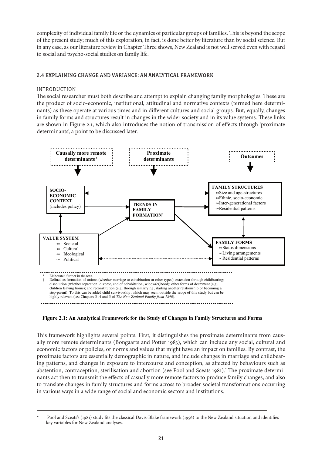complexity of individual family life or the dynamics of particular groups of families. This is beyond the scope of the present study; much of this exploration, in fact, is done better by literature than by social science. But in any case, as our literature review in Chapter Three shows, New Zealand is not well served even with regard to social and psycho-social studies on family life.

# 2.4 Explaining Change and Variance: An Analytical Framework

## Introduction

The social researcher must both describe and attempt to explain changing family morphologies. These are the product of socio-economic, institutional, attitudinal and normative contexts (termed here determinants) as these operate at various times and in different cultures and social groups. But, equally, changes in family forms and structures result in changes in the wider society and in its value systems. These links are shown in Figure 2.1, which also introduces the notion of transmission of effects through 'proximate determinants', a point to be discussed later.



**Figure 2.1: An Analytical Framework for the Study of Changes in Family Structures and Forms**

This framework highlights several points. First, it distinguishes the proximate determinants from causally more remote determinants (Bongaarts and Potter 1983), which can include any social, cultural and economic factors or policies, or norms and values that might have an impact on families. By contrast, the proximate factors are essentially demographic in nature, and include changes in marriage and childbearing patterns, and changes in exposure to intercourse and conception, as affected by behaviours such as abstention, contraception, sterilisation and abortion (see Pool and Sceats 1981). The proximate determinants act then to transmit the effects of casually more remote factors to produce family changes, and also to translate changes in family structures and forms across to broader societal transformations occurring in various ways in a wide range of social and economic sectors and institutions.

Pool and Sceats's (1981) study fits the classical Davis-Blake framework (1956) to the New Zealand situation and identifies key variables for New Zealand analyses.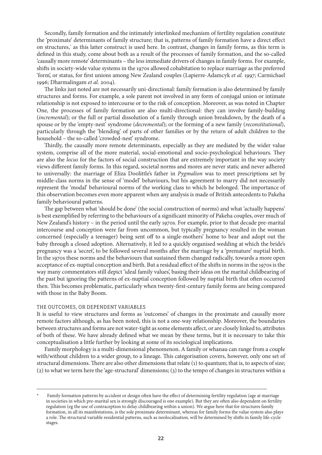Secondly, family formation and the intimately interlinked mechanism of fertility regulation constitute the 'proximate' determinants of family structure; that is, patterns of family formation have a direct effect on structures, as this latter construct is used here. In contrast, changes in family forms, as this term is defined in this study, come about both as a result of the processes of family formation, and the so-called 'causally more remote' determinants – the less immediate drivers of changes in family forms. For example, shifts in society-wide value systems in the 1970s allowed cohabitation to replace marriage as the preferred 'form', or status, for first unions among New Zealand couples (Lapierre-Adamcyk *et al.* 1997; Carmichael 1996; Dharmalingam *et al.* 2004).

The links just noted are not necessarily uni-directional: family formation is also determined by family structures and forms. For example, a sole parent not involved in any form of conjugal union or intimate relationship is not exposed to intercourse or to the risk of conception. Moreover, as was noted in Chapter One, the processes of family formation are also multi-directional: they can involve family-building (*incremental*); or the full or partial dissolution of a family through union breakdown, by the death of a spouse or by the 'empty-nest' syndrome (*decremental*); or the forming of a new family (*reconstitutional*), particularly through the 'blending' of parts of other families or by the return of adult children to the household – the so-called 'crowded-nest' syndrome.

Thirdly, the causally more remote determinants, especially as they are mediated by the wider value system, comprise all of the more material, social-emotional and socio-psychological behaviours. They are also the *locus* for the factors of social construction that are extremely important in the way society views different family forms. In this regard, societal norms and mores are never static and never adhered to universally: the marriage of Eliza Doolittle's father in *Pygmalion* was to meet prescriptions set by middle-class norms in the sense of 'model' behaviours, but his agreement to marry did not necessarily represent the 'modal' behavioural norms of the working class to which he belonged. The importance of this observation becomes even more apparent when any analysis is made of British antecedents to Pakeha family behavioural patterns.

The gap between what 'should be done' (the social construction of norms) and what 'actually happens' is best exemplified by referring to the behaviours of a significant minority of Pakeha couples, over much of New Zealand's history – in the period until the early 1970s. For example, prior to that decade pre-marital intercourse and conception were far from uncommon, but typically pregnancy resulted in the woman concerned (especially a teenager) being sent off to a single-mothers' home to bear and adopt out the baby through a closed adoption. Alternatively, it led to a quickly organised wedding at which the bride's pregnancy was a 'secret', to be followed several months after the marriage by a 'premature' nuptial birth. In the 1970s these norms and the behaviours that sustained them changed radically, towards a more open acceptance of ex-nuptial conception and birth. But a residual effect of the shifts in norms in the 1970s is the way many commentators still depict 'ideal family values', basing their ideas on the marital childbearing of the past but ignoring the patterns of ex-nuptial conception followed by nuptial birth that often occurred then. This becomes problematic, particularly when twenty-first-century family forms are being compared with those in the Baby Boom.

#### The Outcomes, or Dependent Variables

It is useful to view structures and forms as 'outcomes' of changes in the proximate and causally more remote factors although, as has been noted, this is not a one-way relationship. Moreover, the boundaries between structures and forms are not water-tight as some elements affect, or are closely linked to, attributes of both of these. We have already defined what we mean by these terms, but it is necessary to take this conceptualisation a little further by looking at some of its sociological implications.

Family morphology is a multi-dimensional phenomenon. A family or whanau can range from a couple with/without children to a wider group, to a lineage. This categorisation covers, however, only one set of structural dimensions. There are also other dimensions that relate (1) to quantum; that is, to aspects of size; (2) to what we term here the 'age-structural' dimensions; (3) to the tempo of changes in structures within a

Family formation patterns by accident or design often have the effect of determining fertility regulation (age at marriage in societies in which pre-marital sex is strongly discouraged is one example). But they are often also dependent on fertility regulation (eg the use of contraception to delay childbearing within a union). We argue here that for structures family formation, in all its manifestations, is the sole proximate determinant, whereas for family forms the value system also plays a role. The structural variable residential patterns, such as neolocalisation, will be determined by shifts in family life-cycle stages.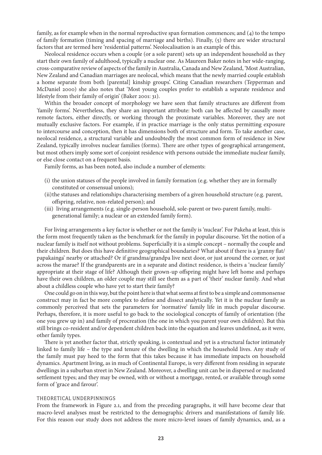family, as for example when in the normal reproductive span formation commences; and (4) to the tempo of family formation (timing and spacing of marriage and births). Finally, (5) there are wider structural factors that are termed here 'residential patterns'. Neolocalisation is an example of this.

Neolocal residence occurs when a couple (or a sole parent) sets up an independent household as they start their own family of adulthood, typically a nuclear one. As Maureen Baker notes in her wide-ranging, cross-comparative review of aspects of the family in Australia, Canada and New Zealand, 'Most Australian, New Zealand and Canadian marriages are neolocal, which means that the newly married couple establish a home separate from both [parental] kinship groups'. Citing Canadian researchers (Tepperman and McDaniel 2000) she also notes that 'Most young couples prefer to establish a separate residence and lifestyle from their family of origin' (Baker 2001: 31).

Within the broader concept of morphology we have seen that family structures are different from 'family forms'. Nevertheless, they share an important attribute: both can be affected by causally more remote factors, either directly, or working through the proximate variables. Moreover, they are not mutually exclusive factors. For example, if in practice marriage is the only status permitting exposure to intercourse and conception, then it has dimensions both of structure and form. To take another case, neolocal residence, a structural variable and undoubtedly the most common form of residence in New Zealand, typically involves nuclear families (forms). There are other types of geographical arrangement, but most others imply some sort of conjoint residence with persons outside the immediate nuclear family, or else close contact on a frequent basis.

Family forms, as has been noted, also include a number of elements:

- (i) the union statuses of the people involved in family formation (e.g. whether they are in formally constituted or consensual unions);
- (ii) the statuses and relationships characterising members of a given household structure (e.g. parent, offspring, relative, non-related person); and
- (iii) living arrangements (e.g. single-person household, sole-parent or two-parent family, multigenerational family; a nuclear or an extended family form).

For living arrangements a key factor is whether or not the family is 'nuclear'. For Pakeha at least, this is the form most frequently taken as the benchmark for the family in popular discourse. Yet the notion of a nuclear family is itself not without problems. Superficially it is a simple concept – normally the couple and their children. But does this have definitive geographical boundaries? What about if there is a 'granny flat/ papakainga' nearby or attached? Or if grandma/grandpa live next door, or just around the corner, or just across the marae? If the grandparents are in a separate and distinct residence, is theirs a 'nuclear family' appropriate at their stage of life? Although their grown-up offspring might have left home and perhaps have their own children, an older couple may still see them as a part of 'their' nuclear family. And what about a childless couple who have yet to start their family?

One could go on in this way, but the point here is that what seems at first to be a simple and commonsense construct may in fact be more complex to define and dissect analytically. Yet it is the nuclear family as commonly perceived that sets the parameters for 'normative' family life in much popular discourse. Perhaps, therefore, it is more useful to go back to the sociological concepts of family of orientation (the one you grew up in) and family of procreation (the one in which you parent your own children). But this still brings co-resident and/or dependent children back into the equation and leaves undefined, as it were, other family types.

There is yet another factor that, strictly speaking, is contextual and yet is a structural factor intimately linked to family life – the type and tenure of the dwelling in which the household lives. Any study of the family must pay heed to the form that this takes because it has immediate impacts on household dynamics. Apartment living, as in much of Continental Europe, is very different from residing in separate dwellings in a suburban street in New Zealand. Moreover, a dwelling unit can be in dispersed or nucleated settlement types; and they may be owned, with or without a mortgage, rented, or available through some form of 'grace and favour'.

#### Theoretical Underpinnings

From the framework in Figure 2.1, and from the preceding paragraphs, it will have become clear that macro-level analyses must be restricted to the demographic drivers and manifestations of family life. For this reason our study does not address the more micro-level issues of family dynamics, and, as a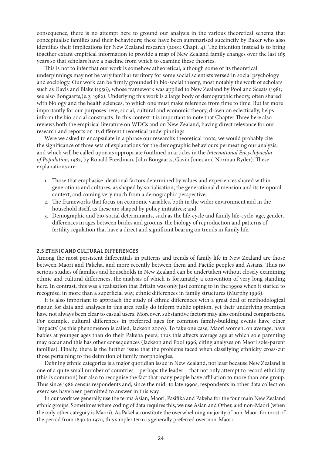consequence, there is no attempt here to ground our analysis in the various theoretical schema that conceptualise families and their behaviours; these have been summarised succinctly by Baker who also identifies their implications for New Zealand research (2001: Chapt. 4). The intention instead is to bring together extant empirical information to provide a map of New Zealand family changes over the last 165 years so that scholars have a baseline from which to examine these theories.

This is not to infer that our work is somehow atheoretical, although some of its theoretical underpinnings may not be very familiar territory for some social scientists versed in social psychology and sociology. Our work can be firmly grounded in bio-social theory, most notably the work of scholars such as Davis and Blake (1956), whose framework was applied to New Zealand by Pool and Sceats (1981; see also Bongaarts,(e.g. 1982). Underlying this work is a large body of demographic theory, often shared with biology and the health sciences, to which one must make reference from time to time. But far more importantly for our purposes here, social, cultural and economic theory, drawn on eclectically, helps inform the bio-social constructs. In this context it is important to note that Chapter Three here also reviews both the empirical literature on WDCs and on New Zealand, having direct relevance for our research and reports on its different theoretical underpinnings.

Were we asked to encapsulate in a phrase our research's theoretical roots, we would probably cite the significance of three sets of explanations for the demographic behaviours permeating our analysis, and which will be called upon as appropriate (outlined in articles in the *International Encyclopaedia of Population*, 1982, by Ronald Freedman, John Bongaarts, Gavin Jones and Norman Ryder). These explanations are:

- 1. Those that emphasise ideational factors determined by values and experiences shared within generations and cultures, as shaped by socialisation, the generational dimension and its temporal context, and coming very much from a demographic perspective;
- 2. The frameworks that focus on economic variables, both in the wider environment and in the household itself, as these are shaped by policy initiatives; and
- 3. Demographic and bio-social determinants, such as the life-cycle and family life-cycle, age, gender, differences in ages between brides and grooms, the biology of reproduction and patterns of fertility regulation that have a direct and significant bearing on trends in family life.

#### 2.5 Ethnic and Cultural Differences

Among the most persistent differentials in patterns and trends of family life in New Zealand are those between Maori and Pakeha, and more recently between them and Pacific peoples and Asians. Thus no serious studies of families and households in New Zealand can be undertaken without closely examining ethnic and cultural differences, the analysis of which is fortunately a convention of very long standing here. In contrast, this was a realisation that Britain was only just coming to in the 1990s when it started to recognise, in more than a superficial way, ethnic differences in family structures (Murphy 1996).

It is also important to approach the study of ethnic differences with a great deal of methodological rigour, for data and analyses in this area really do inform public opinion, yet their underlying premises have not always been clear to casual users. Moreover, substantive factors may also confound comparisons. For example, cultural differences in preferred ages for common family-building events have other 'impacts' (as this phenomenon is called, Jackson 2000). To take one case, Maori women, on average, have babies at younger ages than do their Pakeha peers; thus this affects average age at which sole parenting may occur and this has other consequences (Jackson and Pool 1996, citing analyses on Maori sole-parent families). Finally, there is the further issue that the problems faced when classifying ethnicity cross-cut those pertaining to the definition of family morphologies.

Defining ethnic categories is a major quotidian issue in New Zealand, not least because New Zealand is one of a quite small number of countries – perhaps the leader – that not only attempt to record ethnicity (this is common) but also to recognise the fact that many people have affiliation to more than one group. Thus since 1986 census respondents and, since the mid- to late 1990s, respondents in other data collection exercises have been permitted to answer in this way.

In our work we generally use the terms Asian, Maori, Pasifika and Pakeha for the four main New Zealand ethnic groups. Sometimes where coding of data requires this, we use Asian and Other, and non-Maori (when the only other category is Maori). As Pakeha constitute the overwhelming majority of non-Maori for most of the period from 1840 to 1970, this simpler term is generally preferred over non-Maori.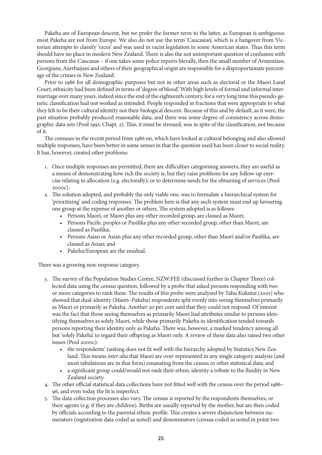Pakeha are of European descent, but we prefer the former term to the latter, as European is ambiguous: most Pakeha are not from Europe. We also do not use the term 'Caucasian', which is a hangover from Victorian attempts to classify 'races' and was used in racist legislation in some American states. Thus this term should have no place in modern New Zealand. There is also the not unimportant question of confusion with persons from the Caucasus – if one takes some police reports literally, then the small number of Armenians, Georgians, Azerbaijani and others of their geographical origin are responsible for a disproportionate percentage of the crimes in New Zealand.

Prior to 1986 for all demographic purposes but not in other areas such as electoral or the Maori Land Court, ethnicity had been defined in terms of 'degree of blood'. With high levels of formal and informal intermarriage over many years, indeed since the end of the eighteenth century, for a very long time this pseudo-genetic classification had not worked as intended. People responded in fractions that were appropriate to what they felt to be their cultural identity not their biological descent. Because of this and by default, as it were, the past situation probably produced reasonable data, and there was some degree of consistency across demographic data sets (Pool 1991: Chapt. 2). This, it must be stressed, was in spite of the classification, not because of it.

The censuses in the recent period from 1986 on, which have looked at cultural belonging and also allowed multiple responses, have been better in some senses in that the question used has been closer to social reality. It has, however, created other problems:

- 1. Once multiple responses are permitted, there are difficulties categorising answers; they are useful as a means of demonstrating how rich the society is, but they raise problems for any follow-up exercise relating to allocation (e.g. electorally); or to determine needs for the obtaining of services (Pool 2000c).
- 2. The solution adopted, and probably the only viable one, was to formulate a hierarchical system for 'prioritising' and coding responses. The problem here is that any such system must end up favouring one group at the expense of another or others. The system adopted is as follows:
	- Persons Maori, or Maori plus any other recorded group, are classed as Maori;
	- Persons Pacific peoples or Pasifika plus any other recorded group, other than Maori, are classed as Pasifika;
	- Persons Asian or Asian plus any other recorded group, other than Maori and/or Pasifika, are classed as Asian; and
	- Pakeha/European are the residual.

There was a growing non-response category.

- 3. The survey of the Population Studies Centre, NZW:FEE (discussed further in Chapter Three) collected data using the census question, followed by a probe that asked persons responding with two or more categories to rank these. The results of this probe were analysed by Tahu Kukutai (2001) who showed that dual-identity (Maori–Pakeha) respondents split evenly into seeing themselves primarily as Maori or primarily as Pakeha. Another 20 per cent said that they could not respond. Of interest was the fact that those seeing themselves as primarily Maori had attributes similar to persons identifying themselves as solely Maori, while those primarily Pakeha in identification tended towards persons reporting their identity only as Pakeha. There was, however, a marked tendency among all but 'solely Pakeha' to regard their offspring as Maori only. A review of these data also raised two other issues (Pool 2000c):
	- the respondents' ranking does not fit well with the hierarchy adopted by Statistics New Zealand. This means *inter alia* that Maori are over-represented in any single category analysis (and most tabulations are in that form) emanating from the census or other statistical data; and
	- a significant group could/would not rank their ethnic identity a tribute to the fluidity in New Zealand society.
- 4. The other official statistical data collections have not fitted well with the census over the period 1986– 96, and even today the fit is imperfect.
- 5. The data collection processes also vary. The census is reported by the respondents themselves, or their agents (e.g. if they are children). Births are usually reported by the mother, but are then coded by officials according to the parental ethnic profile. This creates a severe disjunction between numerators (registration data coded as noted) and denominators (census coded as noted in point two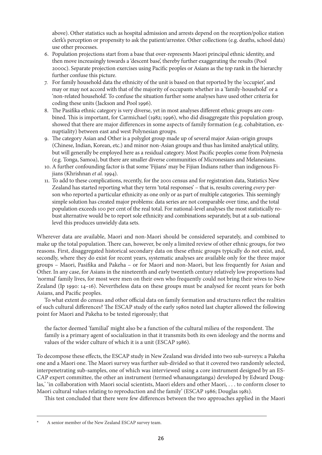above). Other statistics such as hospital admission and arrests depend on the reception/police station clerk's perception or propensity to ask the patient/arrestee. Other collections (e.g. deaths, school data) use other processes.

- 6. Population projections start from a base that over-represents Maori principal ethnic identity, and then move increasingly towards a 'descent base', thereby further exaggerating the results (Pool 2000c). Separate projection exercises using Pacific peoples or Asians as the top rank in the hierarchy further confuse this picture.
- 7. For family household data the ethnicity of the unit is based on that reported by the 'occupier', and may or may not accord with that of the majority of occupants whether in a 'family-household' or a 'non-related household'. To confuse the situation further some analyses have used other criteria for coding these units (Jackson and Pool 1996).
- 8. The Pasifika ethnic category is very diverse, yet in most analyses different ethnic groups are combined. This is important, for Carmichael (1982; 1996), who did disaggregate this population group, showed that there are major differences in some aspects of family formation (e.g. cohabitation, exnuptiality) between east and west Polynesian groups.
- 9. The category Asian and Other is a polyglot group made up of several major Asian-origin groups (Chinese, Indian, Korean, etc.) and minor non-Asian groups and thus has limited analytical utility, but will generally be employed here as a residual category. Most Pacific peoples come from Polynesia (e.g. Tonga, Samoa), but there are smaller diverse communities of Micronesians and Melanesians.
- 10. A further confounding factor is that some 'Fijians' may be Fijian Indians rather than indigenous Fijians (Khrishnan *et al.* 1994).
- 11. To add to these complications, recently, for the 2001 census and for registration data, Statistics New Zealand has started reporting what they term 'total responses' – that is, results covering *every* person who reported a particular ethnicity as one only or as part of multiple categories. This seemingly simple solution has created major problems: data series are not comparable over time, and the total population exceeds 100 per cent of the real total. For national-level analyses the most statistically robust alternative would be to report sole ethnicity and combinations separately, but at a sub-national level this produces unwieldy data sets.

Wherever data are available, Maori and non-Maori should be considered separately, and combined to make up the total population. There can, however, be only a limited review of other ethnic groups, for two reasons. First, disaggregated historical secondary data on these ethnic groups typically do not exist, and, secondly, where they do exist for recent years, systematic analyses are available only for the three major groups – Maori, Pasifika and Pakeha – or for Maori and non-Maori, but less frequently for Asian and Other. In any case, for Asians in the nineteenth and early twentieth century relatively low proportions had 'normal' family lives, for most were men on their own who frequently could not bring their wives to New Zealand (Ip 1990: 14–16). Nevertheless data on these groups must be analysed for recent years for both Asians, and Pacific peoples.

To what extent do census and other official data on family formation and structures reflect the realities of such cultural differences? The ESCAP study of the early 1980s noted last chapter allowed the following point for Maori and Pakeha to be tested rigorously; that

the factor deemed 'familial' might also be a function of the cultural milieu of the respondent. The family is a primary agent of socialization in that it transmits both its own ideology and the norms and values of the wider culture of which it is a unit (ESCAP 1986).

To decompose these effects, the ESCAP study in New Zealand was divided into two sub-surveys: a Pakeha one and a Maori one. The Maori survey was further sub-divided so that it covered two randomly selected, interpenetrating sub-samples, one of which was interviewed using a core instrument designed by an ES-CAP expert committee, the other an instrument (termed whanaungatanga) developed by Edward Douglas, 'in collaboration with Maori social scientists, Maori elders and other Maori, . . . to conform closer to Maori cultural values relating to reproduction and the family' (ESCAP 1986; Douglas 1981).

This test concluded that there were few differences between the two approaches applied in the Maori

A senior member of the New Zealand ESCAP survey team.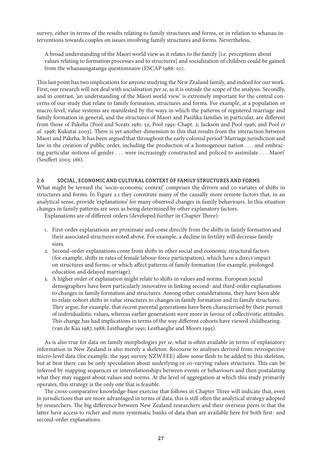survey, either in terms of the results relating to family structures and forms, or in relation to whanau interventions towards couples on issues involving family structures and forms. Nevertheless,

A broad understanding of the Maori world view as it relates to the family [i.e. perceptions about values relating to formation processes and to structures] and socialization of children could be gained from the whanaungatanga questionnaire (ESCAP 1986: 10).

This last point has two implications for anyone studying the New Zealand family, and indeed for our work. First, our research will not deal with socialisation *per se*, as it is outside the scope of the analysis. Secondly, and in contrast, 'an understanding of the Maori world view' is extremely important for the central concerns of our study that relate to family formation, structures and forms. For example, at a population or macro-level, value systems are manifested by the ways in which the patterns of registered marriage and family formation in general, and the structures of Maori and Pasifika families in particular, are different from those of Pakeha (Pool and Sceats 1981: 52; Pool 1991: Chapt. 2; Jackson and Pool 1996; and Pool *et al.* 1998; Kukutai 2003). There is yet another dimension to this that results from the interaction between Maori and Pakeha. It has been argued that throughout the early colonial period 'Marriage jurisdiction and law in the creation of public order, including the production of a homogenous nation . . . and embracing particular notions of gender . . . were increasingly constructed and policed to assimilate . . . Maori' (Seuffert 2003: 186).

# 2.6 Social, Economic and Cultural Context of Family Structures and Forms

What might be termed the 'socio-economic context' comprises the drivers and co-variates of shifts in structures and forms. In Figure 2.1 they constitute many of the causally more remote factors that, in an analytical sense, provide 'explanations' for many observed changes in family behaviours. In this situation changes in family patterns are seen as being determined by other explanatory factors.

Explanations are of different orders (developed further in Chapter Three):

- 1. First-order explanations are proximate and come directly from the shifts in family formation and their associated structures noted above. For example, a decline in fertility will decrease family sizes.
- 2. Second-order explanations come from shifts in other social and economic structural factors (for example, shifts in rates of female labour-force participation), which have a direct impact on structures and forms, or which affect patterns of family formation (for example, prolonged education and delayed marriage).
- 3. A higher order of explanation might relate to shifts in values and norms. European social demographers have been particularly innovative in linking second- and third-order explanations to changes in family formation and structures. Among other considerations, they have been able to relate cohort shifts in value structures to changes in family formation and in family structures. They argue, for example, that recent parental generations have been characterised by their pursuit of individualistic values*,* whereas earlier generations were more in favour of collectivistic attitudes. This change has had implications in terms of the way different cohorts have viewed childbearing. (van de Kaa 1987, 1988; Lesthaeghe 1991; Lesthaeghe and Moors 1995).

As is also true for data on family morphologies *per se*, what is often available in terms of explanatory information in New Zealand is also merely a skeleton. Recourse to analyses derived from retrospective micro-level data (for example, the 1995 survey NZW:FEE) allow some flesh to be added to this skeleton, but at best there can be only speculation about underlying or co-varying values structures. This can be inferred by mapping sequences or interrelationships between events or behaviours and then postulating what they may suggest about values and norms. At the level of aggregation at which this study primarily operates, this strategy is the only one that is feasible.

The cross-comparative knowledge-base exercise that follows in Chapter Three will indicate that, even in jurisdictions that are more advantaged in terms of data, this is still often the analytical strategy adopted by researchers. The big difference between New Zealand researchers and their overseas peers is that the latter have access to richer and more systematic banks of data than are available here for both first- and second-order explanations.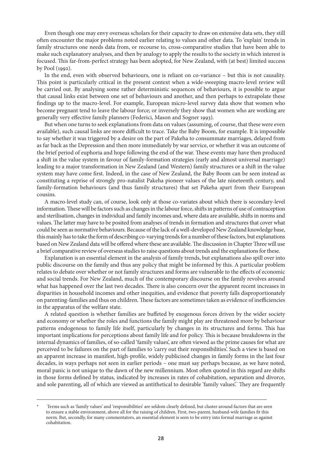Even though one may envy overseas scholars for their capacity to draw on extensive data sets, they still often encounter the major problems noted earlier relating to values and other data. To 'explain' trends in family structures one needs data from, or recourse to, cross-comparative studies that have been able to make such explanatory analyses, and then by analogy to apply the results to the society in which interest is focused. This far-from-perfect strategy has been adopted, for New Zealand, with (at best) limited success by Pool (1992).

In the end, even with observed behaviours, one is reliant on co-variance – but this is not causality. This point is particularly critical in the present context when a wide-sweeping macro-level review will be carried out. By analysing some rather deterministic sequences of behaviours, it is possible to argue that causal links exist between one set of behaviours and another, and then perhaps to extrapolate these findings up to the macro-level. For example, European micro-level survey data show that women who become pregnant tend to leave the labour force; or inversely they show that women who are working are generally very effective family planners (Federici, Mason and Sogner 1993).

But when one turns to seek explanations from data on values (assuming, of course, that these were even available), such causal links are more difficult to trace. Take the Baby Boom, for example. It is impossible to say whether it was triggered by a desire on the part of Pakeha to consummate marriages, delayed from as far back as the Depression and then more immediately by war service, or whether it was an outcome of the brief period of euphoria and hope following the end of the war. These events may have then produced a shift in the value system in favour of family-formation strategies (early and almost universal marriage) leading to a major transformation in New Zealand (and Western) family structures or a shift in the value system may have come first. Indeed, in the case of New Zealand, the Baby Boom can be seen instead as constituting a reprise of strongly pro-natalist Pakeha pioneer values of the late nineteenth century, and family-formation behaviours (and thus family structures) that set Pakeha apart from their European cousins.

A macro-level study can, of course, look only at those co-variates about which there is secondary-level information. These will be factors such as changes in the labour force, shifts in patterns of use of contraception and sterilisation, changes in individual and family incomes and, where data are available, shifts in norms and values. The latter may have to be posited from analyses of trends in formation and structures that cover what could be seen as normative behaviours. Because of the lack of a well-developed New Zealand knowledge base, this mainly has to take the form of describing co-varying trends for a number of these factors, but explanations based on New Zealand data will be offered where these are available. The discussion in Chapter Three will use a brief comparative review of overseas studies to raise questions about trends and the explanations for these.

Explanation is an essential element in the analysis of family trends, but explanations also spill over into public discourse on the family and thus any policy that might be informed by this. A particular problem relates to debate over whether or not family structures and forms are vulnerable to the effects of economic and social trends. For New Zealand, much of the contemporary discourse on the family revolves around what has happened over the last two decades. There is also concern over the apparent recent increases in disparities in household incomes and other inequities, and evidence that poverty falls disproportionately on parenting-families and thus on children. These factors are sometimes taken as evidence of inefficiencies in the apparatus of the welfare state.

A related question is whether families are buffeted by exogenous forces driven by the wider society and economy or whether the roles and functions the family might play are threatened more by behaviour patterns endogenous to family life itself, particularly by changes in its structures and forms. This has important implications for perceptions about family life and for policy. This is because breakdowns in the internal dynamics of families, of so-called 'family values', are often viewed as the prime causes for what are perceived to be failures on the part of families to 'carry out their responsibilities'. Such a view is based on an apparent increase in manifest, high-profile, widely publicised changes in family forms in the last four decades, in ways perhaps not seen in earlier periods – one must say perhaps because, as we have noted, moral panic is not unique to the dawn of the new millennium. Most often quoted in this regard are shifts in those forms defined by status, indicated by increases in rates of cohabitation, separation and divorce, and sole parenting, all of which are viewed as antithetical to desirable 'family values'. They are frequently

Terms such as 'family values' and 'responsibilities' are seldom clearly defined, but cluster around factors that are seen to ensure a stable environment, above all for the raising of children. First, two-parent, husband-wife families fit this norm. But, secondly, for many commentators, an essential element is seen to be entry into formal marriage as against cohabitation.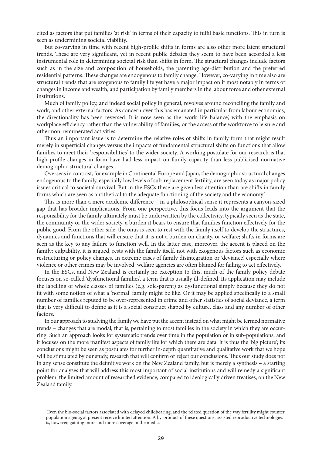cited as factors that put families 'at risk' in terms of their capacity to fulfil basic functions. This in turn is seen as undermining societal viability.

But co-varying in time with recent high-profile shifts in forms are also other more latent structural trends. These are very significant, yet in recent public debates they seem to have been accorded a less instrumental role in determining societal risk than shifts in form. The structural changes include factors such as in the size and composition of households, the parenting age-distribution and the preferred residential patterns. These changes are endogenous to family change. However, co-varying in time also are structural trends that are exogenous to family life yet have a major impact on it most notably in terms of changes in income and wealth, and participation by family members in the labour force and other external institutions.

Much of family policy, and indeed social policy in general, revolves around reconciling the family and work, and other external factors. As concern over this has emanated in particular from labour economics, the directionality has been reversed. It is now seen as the 'work–life balance', with the emphasis on workplace efficiency rather than the vulnerability of families, or the access of the workforce to leisure and other non-remunerated activities.

Thus an important issue is to determine the relative roles of shifts in family form that might result merely in superficial changes versus the impacts of fundamental structural shifts on functions that allow families to meet their 'responsibilities' to the wider society. A working postulate for our research is that high-profile changes in form have had less impact on family capacity than less publicised normative demographic structural changes.

Overseas in contrast, for example in Continental Europe and Japan, the demographic structural changes endogenous to the family, especially low levels of sub-replacement fertility, are seen today as major policy issues critical to societal survival. But in the ESCs these are given less attention than are shifts in family forms which are seen as antithetical to the adequate functioning of the society and the economy.

This is more than a mere academic difference – in a philosophical sense it represents a canyon-sized gap that has broader implications. From one perspective, this focus leads into the argument that the responsibility for the family ultimately must be underwritten by the collectivity, typically seen as the state, the community or the wider society, a burden it bears to ensure that families function effectively for the public good. From the other side, the onus is seen to rest with the family itself to develop the structures, dynamics and functions that will ensure that it is not a burden on charity, or welfare; shifts in forms are seen as the key to any failure to function well. In the latter case, moreover, the accent is placed on the family: culpability, it is argued, rests with the family itself, not with exogenous factors such as economic restructuring or policy changes. In extreme cases of family disintegration or 'deviance', especially where violence or other crimes may be involved, welfare agencies are often blamed for failing to act effectively.

In the ESCs, and New Zealand is certainly no exception to this, much of the family policy debate focuses on so-called 'dysfunctional families', a term that is usually ill-defined. Its application may include the labelling of whole classes of families (e.g. sole-parent) as dysfunctional simply because they do not fit with some notion of what a 'normal' family might be like. Or it may be applied specifically to a small number of families reputed to be over-represented in crime and other statistics of social deviance, a term that is very difficult to define as it is a social construct shaped by culture, class and any number of other factors.

In our approach to studying the family we have put the accent instead on what might be termed normative trends – changes that are modal, that is, pertaining to most families in the society in which they are occurring. Such an approach looks for systematic trends over time in the population or in sub-populations, and it focuses on the more manifest aspects of family life for which there are data. It is thus the 'big picture'; its conclusions might be seen as postulates for further in-depth quantitative and qualitative work that we hope will be stimulated by our study, research that will confirm or reject our conclusions. Thus our study does not in any sense constitute the definitive work on the New Zealand family, but is merely a synthesis – a starting point for analyses that will address this most important of social institutions and will remedy a significant problem: the limited amount of researched evidence, compared to ideologically driven treatises, on the New Zealand family.

Even the bio-social factors associated with delayed childbearing, and the related question of the way fertility might counter population ageing, at present receive limited attention. A by-product of these questions, assisted reproductive technologies is, however, gaining more and more coverage in the media.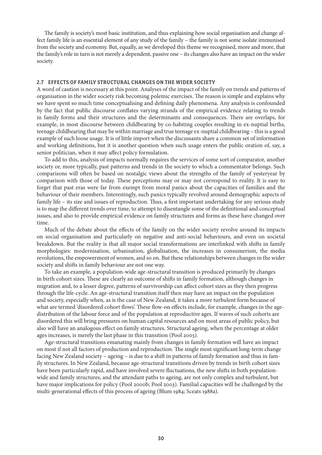The family is society's most basic institution, and thus explaining how social organisation and change affect family life is an essential element of any study of the family – the family is not some isolate immunised from the society and economy. But, equally, as we developed this theme we recognised, more and more, that the family's role in turn is not merely a dependent, passive one – its changes also have an impact on the wider society.

#### 2.7 Effects of Family Structural Changes on the Wider Society

A word of caution is necessary at this point. Analyses of the impact of the family on trends and patterns of organisation in the wider society risk becoming polemic exercises. The reason is simple and explains why we have spent so much time conceptualising and defining daily phenomena. Any analysis is confounded by the fact that public discourse conflates varying strands of the empirical evidence relating to trends in family forms and their structures and the determinants and consequences. There are overlaps, for example, in most discourse between childbearing by co-habiting couples resulting in ex-nuptial births, teenage childbearing that may be within marriage and true teenage ex-nuptial childbearing – this is a good example of such loose usage. It is of little import when the discussants share a common set of information and working definitions, but it is another question when such usage enters the public oration of, say, a senior politician, when it may affect policy formulation.

To add to this, analysis of impacts normally requires the services of some sort of comparator, another society or, more typically, past patterns and trends in the society to which a commentator belongs. Such comparisons will often be based on nostalgic views about the strengths of the family of yesteryear by comparison with those of today. These perceptions may or may not correspond to reality. It is easy to forget that past eras were far from exempt from moral panics about the capacities of families and the behaviour of their members. Interestingly, such panics typically revolved around demographic aspects of family life – its size and issues of reproduction. Thus, a first important undertaking for any serious study is to map the different trends over time, to attempt to disentangle some of the definitional and conceptual issues, and also to provide empirical evidence on family structures and forms as these have changed over time.

Much of the debate about the effects of the family on the wider society revolve around its impacts on social organisation and particularly on negative and anti-social behaviours, and even on societal breakdown. But the reality is that all major social transformations are interlinked with shifts in family morphologies: modernisation, urbanisation, globalisation, the increases in consumerism, the media revolutions, the empowerment of women, and so on. But these relationships between changes in the wider society and shifts in family behaviour are not one way.

To take an example, a population-wide age-structural transition is produced primarily by changes in birth cohort sizes. These are clearly an outcome of shifts in family formation, although changes in migration and, to a lesser degree, patterns of survivorship can affect cohort sizes as they then progress through the life-cycle. An age-structural transition itself then may have an impact on the population and society, especially when, as is the case of New Zealand, it takes a more turbulent form because of what are termed 'disordered cohort flows'. These flow-on effects include, for example, changes in the agedistribution of the labour force and of the population at reproductive ages. If waves of such cohorts are disordered this will bring pressures on human capital resources and on most areas of public policy, but also will have an analogous effect on family structures. Structural ageing, when the percentage at older ages increases, is merely the last phase in this transition (Pool 2003).

Age-structural transitions emanating mainly from changes in family formation will have an impact on most if not all factors of production and reproduction. The single most significant long-term change facing New Zealand society – ageing – is due to a shift in patterns of family formation and thus in family structures. In New Zealand, because age-structural transitions driven by trends in birth cohort sizes have been particularly rapid, and have involved severe fluctuations, the new shifts in both populationwide and family structures, and the attendant paths to ageing, are not only complex and turbulent, but have major implications for policy (Pool 2000b; Pool 2003). Familial capacities will be challenged by the multi-generational effects of this process of ageing (Blum 1984; Sceats 1988a).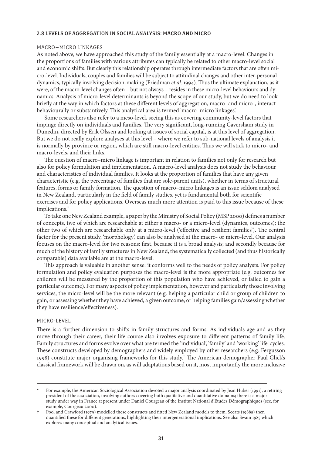#### 2.8 Levels of Aggregation in Social Analysis: Macro and Micro

#### Macro–micro Linkages

As noted above, we have approached this study of the family essentially at a macro-level. Changes in the proportions of families with various attributes can typically be related to other macro-level social and economic shifts. But clearly this relationship operates through intermediate factors that are often micro-level. Individuals, couples and families will be subject to attitudinal changes and other inter-personal dynamics, typically involving decision-making (Friedman *et al.* 1994). Thus the ultimate explanation, as it were, of the macro-level changes often – but not always – resides in these micro-level behaviours and dynamics. Analysis of micro-level determinants is beyond the scope of our study, but we do need to look briefly at the way in which factors at these different levels of aggregation, macro- and micro-, interact behaviourally or substantively. This analytical area is termed 'macro–micro linkages'.

Some researchers also refer to a meso-level, seeing this as covering community-level factors that impinge directly on individuals and families. The very significant, long-running Caversham study in Dunedin, directed by Erik Olssen and looking at issues of social capital, is at this level of aggregation. But we do not really explore analyses at this level – where we refer to sub-national levels of analysis it is normally by province or region, which are still macro-level entities. Thus we will stick to micro- and macro-levels, and their links.

The question of macro–micro linkage is important in relation to families not only for research but also for policy formulation and implementation. A macro-level analysis does not study the behaviour and characteristics of individual families. It looks at the proportion of families that have any given characteristic (e.g. the percentage of families that are sole-parent units), whether in terms of structural features, forms or family formation. The question of macro–micro linkages is an issue seldom analysed in New Zealand, particularly in the field of family studies, yet is fundamental both for scientific exercises and for policy applications. Overseas much more attention is paid to this issue because of these implications.

To take one New Zealand example, a paper by the Ministry of Social Policy (MSP 2000) defines a number of concepts, two of which are researchable at either a macro- or a micro-level (dynamics, outcomes); the other two of which are researchable only at a micro-level ('effective and resilient families'). The central factor for the present study, 'morphology', can also be analysed at the macro- or micro-level. Our analysis focuses on the macro-level for two reasons: first, because it is a broad analysis; and secondly because for much of the history of family structures in New Zealand, the systematically collected (and thus historically comparable) data available are at the macro-level.

This approach is valuable in another sense: it conforms well to the needs of policy analysts. For policy formulation and policy evaluation purposes the macro-level is the more appropriate (e.g. outcomes for children will be measured by the proportion of this population who have achieved, or failed to gain a particular outcome). For many aspects of policy implementation, however and particularly those involving services, the micro-level will be the more relevant (e.g. helping a particular child or group of children to gain, or assessing whether they have achieved, a given outcome; or helping families gain/assessing whether they have resilience/effectiveness).

#### Micro-level

There is a further dimension to shifts in family structures and forms. As individuals age and as they move through their career, their life-course also involves exposure to different patterns of family life. Family structures and forms evolve over what are termed the 'individual', 'family' and 'working' life-cycles. These constructs developed by demographers and widely employed by other researchers (e.g. Fergusson 1998) constitute major organising frameworks for this study. The American demographer Paul Glick's classical framework will be drawn on, as will adaptations based on it, most importantly the more inclusive

For example, the American Sociological Association devoted a major analysis coordinated by Jean Huber (1991), a retiring president of the association, involving authors covering both qualitative and quantitative domains; there is a major study under way in France at present under Daniel Courgeau of the Institut National d'Etudes Démographiques (see, for example, Courgeau 2000).

Pool and Crawford (1979) modelled these constructs and fitted New Zealand models to them. Sceats (1988a) then quantified these for different generations, highlighting their intergenerational implications. See also Swain 1985 which explores many conceptual and analytical issues.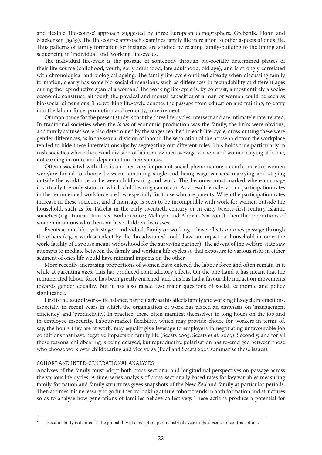and flexible 'life-course' approach suggested by three European demographers, Grebenik, Hohn and Mackensen (1989). The life-course approach examines family life in relation to other aspects of one's life. Thus patterns of family formation for instance are studied by relating family-building to the timing and sequencing in 'individual' and 'working' life-cycles.

The individual life-cycle is the passage of somebody through bio-socially determined phases of their life-course (childhood, youth, early adulthood, late adulthood, old age), and is strongly correlated with chronological and biological ageing. The family life-cycle outlined already when discussing family formation, clearly has some bio-social dimensions, such as differences in fecundability at different ages during the reproductive span of a woman. The working life-cycle is, by contrast, almost entirely a socioeconomic construct, although the physical and mental capacities of a man or woman could be seen as bio-social dimensions. The working life-cycle denotes the passage from education and training, to entry into the labour force, promotion and seniority, to retirement.

Of importance for the present study is that the three life-cycles intersect and are intimately interrelated. In traditional societies when the *locus* of economic production was the family, the links were obvious, and family statuses were also determined by the stages reached in each life-cycle; cross-cutting these were gender differences, as in the sexual division of labour. The separation of the household from the workplace tended to hide these interrelationships by segregating out different roles. This holds true particularly in cash societies where the sexual division of labour saw men as wage-earners and women staying at home, not earning incomes and dependent on their spouses.

Often associated with this is another very important social phenomenon: in such societies women were/are forced to choose between remaining single and being wage-earners, marrying and staying outside the workforce or between childbearing and work. This becomes most marked where marriage is virtually the only status in which childbearing can occur. As a result female labour participation rates in the remunerated workforce are low, especially for those who are parents. When the participation rates increase in these societies, and if marriage is seen to be incompatible with work for women outside the household, such as for Pakeha in the early twentieth century or in early twenty-first-century Islamic societies (e.g. Tunisia, Iran, see Brahim 2004; Mehryer and Ahmad-Nia 2004), then the proportions of women in unions who then can have children decreases.

Events at one life-cycle stage – individual, family or working – have effects on one's passage through the others (e.g. a work accident by the 'breadwinner' could have an impact on household income; the work-fatality of a spouse means widowhood for the surviving partner). The advent of the welfare-state saw attempts to mediate between the family and working life-cycles so that exposure to various risks in either segment of one's life would have minimal impacts on the other.

More recently, increasing proportions of women have entered the labour force and often remain in it while at parenting ages. This has produced contradictory effects. On the one hand it has meant that the remunerated labour force has been greatly enriched, and this has had a favourable impact on movements towards gender equality. But it has also raised two major questions of social, economic and policy significance.

First is the issue of work–life balance, particularly as this affects family and working life-cycle interactions, especially in recent years in which the organisation of work has placed an emphasis on 'management efficiency' and 'productivity'. In practice, these often manifest themselves in long hours on the job and in employee insecurity. Labour-market flexibility, which may provide choice for workers in terms of, say, the hours they are at work, may equally give leverage to employers in negotiating unfavourable job conditions that have negative impacts on family life (Sceats 2003; Sceats *et al.* 2003). Secondly, and for all these reasons, childbearing is being delayed, but reproductive polarisation has re-emerged between those who choose work over childbearing and vice versa (Pool and Sceats 2003 summarise these issues).

#### Cohort and Inter-generational Analyses

Analyses of the family must adopt both cross-sectional and longitudinal perspectives on passage across the various life-cycles. A time-series analysis of cross-sectionally based rates for key variables measuring family formation and family structures gives snapshots of the New Zealand family at particular periods. Then at times it is necessary to go further by looking at true cohort trends in both formation and structures so as to analyse how generations of families behave collectively. These actions produce a potential for

Fecundability is defined as the probability of conception per menstrual cycle in the absence of contraception .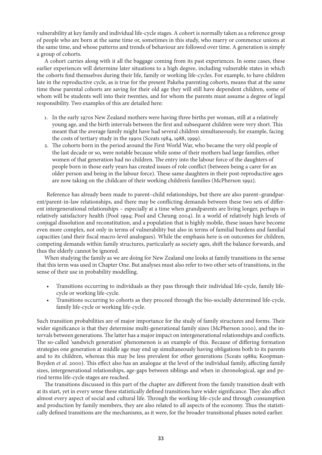vulnerability at key family and individual life-cycle stages. A cohort is normally taken as a reference group of people who are born at the same time or, sometimes in this study, who marry or commence unions at the same time, and whose patterns and trends of behaviour are followed over time. A generation is simply a group of cohorts.

A cohort carries along with it all the baggage coming from its past experiences. In some cases, these earlier experiences will determine later situations to a high degree, including vulnerable states in which the cohorts find themselves during their life, family or working life-cycles. For example, to have children late in the reproductive cycle, as is true for the present Pakeha parenting cohorts, means that at the same time these parental cohorts are saving for their old age they will still have dependent children, some of whom will be students well into their twenties, and for whom the parents must assume a degree of legal responsibility. Two examples of this are detailed here:

- 1. In the early 1970s New Zealand mothers were having three births per woman, still at a relatively young age, and the birth intervals between the first and subsequent children were very short. This meant that the average family might have had several children simultaneously, for example, facing the costs of tertiary study in the 1990s (Sceats 1984, 1988, 1999).
- 2. The cohorts born in the period around the First World War, who became the very old people of the last decade or so, were notable because while some of their mothers had large families, other women of that generation had no children. The entry into the labour force of the daughters of people born in those early years has created issues of role conflict (between being a carer for an older person and being in the labour force). These same daughters in their post-reproductive ages are now taking on the childcare of their working children's families (McPherson 1992).

Reference has already been made to parent–child relationships, but there are also parent–grandparent/parent-in-law relationships, and there may be conflicting demands between these two sets of different intergenerational relationships – especially at a time when grandparents are living longer, perhaps in relatively satisfactory health (Pool 1994; Pool and Cheung 2004). In a world of relatively high levels of conjugal dissolution and reconstitution, and a population that is highly mobile, these issues have become even more complex, not only in terms of vulnerability but also in terms of familial burdens and familial capacities (and their fiscal macro-level analogues). While the emphasis here is on outcomes for children, competing demands within family structures, particularly as society ages, shift the balance forwards, and thus the elderly cannot be ignored.

When studying the family as we are doing for New Zealand one looks at family transitions in the sense that this term was used in Chapter One. But analyses must also refer to two other sets of transitions, in the sense of their use in probability modelling.

- Transitions occurring to individuals as they pass through their individual life-cycle, family lifecycle or working life-cycle.
- Transitions occurring to cohorts as they proceed through the bio-socially determined life-cycle, family life-cycle or working life-cycle.

Such transition probabilities are of major importance for the study of family structures and forms. Their wider significance is that they determine multi-generational family sizes (McPherson 2000), and the intervals between generations. The latter has a major impact on intergenerational relationships and conflicts. The so-called 'sandwich generation' phenomenon is an example of this. Because of differing formation strategies one generation at middle age may end up simultaneously having obligations both to its parents and to its children, whereas this may be less prevalent for other generations (Sceats 1988a; Koopman-Boyden *et al*. 2000). This effect also has an analogue at the level of the individual family, affecting family sizes, intergenerational relationships, age-gaps between siblings and when in chronological, age and period terms life-cycle stages are reached.

The transitions discussed in this part of the chapter are different from the family transition dealt with at its start, yet in every sense these statistically defined transitions have wider significance. They also affect almost every aspect of social and cultural life. Through the working life-cycle and through consumption and production by family members, they are also related to all aspects of the economy. Thus the statistically defined transitions are the mechanisms, as it were, for the broader transitional phases noted earlier.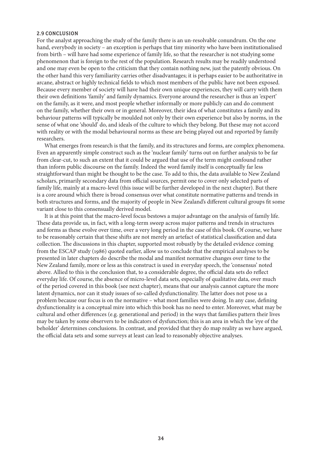#### 2.9 Conclusion

For the analyst approaching the study of the family there is an un-resolvable conundrum. On the one hand, everybody in society – an exception is perhaps that tiny minority who have been institutionalised from birth – will have had some experience of family life, so that the researcher is not studying some phenomenon that is foreign to the rest of the population. Research results may be readily understood and one may even be open to the criticism that they contain nothing new, just the patently obvious. On the other hand this very familiarity carries other disadvantages; it is perhaps easier to be authoritative in arcane, abstract or highly technical fields to which most members of the public have not been exposed. Because every member of society will have had their own unique experiences, they will carry with them their own definitions 'family' and family dynamics. Everyone around the researcher is thus an 'expert' on the family, as it were, and most people whether informally or more publicly can and do comment on the family, whether their own or in general. Moreover, their idea of what constitutes a family and its behaviour patterns will typically be moulded not only by their own experience but also by norms, in the sense of what one 'should' do, and ideals of the culture to which they belong. But these may not accord with reality or with the modal behavioural norms as these are being played out and reported by family researchers.

What emerges from research is that the family, and its structures and forms, are complex phenomena. Even an apparently simple construct such as the 'nuclear family' turns out on further analysis to be far from clear-cut, to such an extent that it could be argued that use of the term might confound rather than inform public discourse on the family. Indeed the word family itself is conceptually far less straightforward than might be thought to be the case. To add to this, the data available to New Zealand scholars, primarily secondary data from official sources, permit one to cover only selected parts of family life, mainly at a macro-level (this issue will be further developed in the next chapter). But there is a core around which there is broad consensus over what constitute normative patterns and trends in both structures and forms, and the majority of people in New Zealand's different cultural groups fit some variant close to this consensually derived model.

It is at this point that the macro-level focus bestows a major advantage on the analysis of family life. These data provide us, in fact, with a long-term sweep across major patterns and trends in structures and forms as these evolve over time, over a very long period in the case of this book. Of course, we have to be reasonably certain that these shifts are not merely an artefact of statistical classification and data collection. The discussions in this chapter, supported most robustly by the detailed evidence coming from the ESCAP study (1986) quoted earlier, allow us to conclude that the empirical analyses to be presented in later chapters do describe the modal and manifest normative changes over time to the New Zealand family, more or less as this construct is used in everyday speech, the 'consensus' noted above. Allied to this is the conclusion that, to a considerable degree, the official data sets do reflect everyday life. Of course, the absence of micro-level data sets, especially of qualitative data, over much of the period covered in this book (see next chapter), means that our analysis cannot capture the more latent dynamics, nor can it study issues of so-called dysfunctionality. The latter does not pose us a problem because our focus is on the normative – what most families were doing. In any case, defining dysfunctionality is a conceptual mire into which this book has no need to enter. Moreover, what may be cultural and other differences (e.g. generational and period) in the ways that families pattern their lives may be taken by some observers to be indicators of dysfunction; this is an area in which the 'eye of the beholder' determines conclusions. In contrast, and provided that they do map reality as we have argued, the official data sets and some surveys at least can lead to reasonably objective analyses.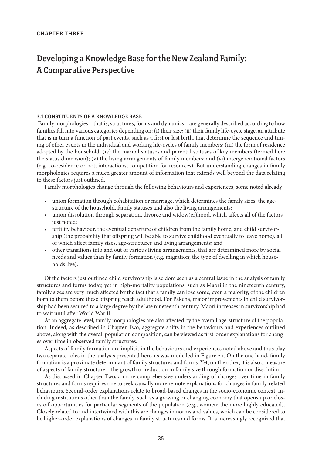# Developing a Knowledge Base for the New Zealand Family: A Comparative Perspective

#### 3.1 Constituents of a Knowledge Base

Family morphologies – that is, structures, forms and dynamics – are generally described according to how families fall into various categories depending on: (i) their size; (ii) their family life-cycle stage, an attribute that is in turn a function of past events, such as a first or last birth, that determine the sequence and timing of other events in the individual and working life-cycles of family members; (iii) the form of residence adopted by the household; (iv) the marital statuses and parental statuses of key members (termed here the status dimension); (v) the living arrangements of family members; and (vi) intergenerational factors (e.g. co-residence or not; interactions; competition for resources). But understanding changes in family morphologies requires a much greater amount of information that extends well beyond the data relating to these factors just outlined.

Family morphologies change through the following behaviours and experiences, some noted already:

- union formation through cohabitation or marriage, which determines the family sizes, the agestructure of the household, family statuses and also the living arrangements;
- union dissolution through separation, divorce and widow(er)hood, which affects all of the factors just noted;
- fertility behaviour, the eventual departure of children from the family home, and child survivorship (the probability that offspring will be able to survive childhood eventually to leave home), all of which affect family sizes, age-structures and living arrangements; and
- other transitions into and out of various living arrangements, that are determined more by social needs and values than by family formation (e.g. migration; the type of dwelling in which households live).

Of the factors just outlined child survivorship is seldom seen as a central issue in the analysis of family structures and forms today, yet in high-mortality populations, such as Maori in the nineteenth century, family sizes are very much affected by the fact that a family can lose some, even a majority, of the children born to them before these offspring reach adulthood. For Pakeha, major improvements in child survivorship had been secured to a large degree by the late nineteenth century. Maori increases in survivorship had to wait until after World War II.

At an aggregate level, family morphologies are also affected by the overall age-structure of the population. Indeed, as described in Chapter Two, aggregate shifts in the behaviours and experiences outlined above, along with the overall population composition, can be viewed as first-order explanations for changes over time in observed family structures.

Aspects of family formation are implicit in the behaviours and experiences noted above and thus play two separate roles in the analysis presented here, as was modelled in Figure 2.1. On the one hand, family formation is a proximate determinant of family structures and forms. Yet, on the other, it is also a measure of aspects of family structure – the growth or reduction in family size through formation or dissolution.

As discussed in Chapter Two, a more comprehensive understanding of changes over time in family structures and forms requires one to seek causally more remote explanations for changes in family-related behaviours. Second-order explanations relate to broad-based changes in the socio-economic context, including institutions other than the family, such as a growing or changing economy that opens up or closes off opportunities for particular segments of the population (e.g., women; the more highly educated). Closely related to and intertwined with this are changes in norms and values, which can be considered to be higher-order explanations of changes in family structures and forms. It is increasingly recognized that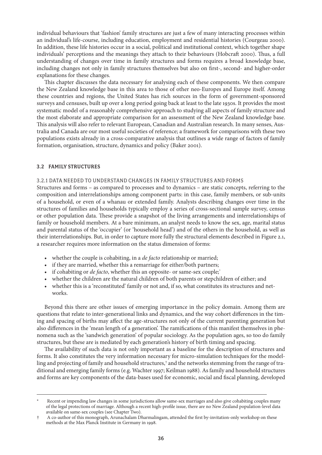individual behaviours that 'fashion' family structures are just a few of many interacting processes within an individual's life-course, including education, employment and residential histories (Courgeau 2000). In addition, these life histories occur in a social, political and institutional context, which together shape individuals' perceptions and the meanings they attach to their behaviours (Hobcraft 2000). Thus, a full understanding of changes over time in family structures and forms requires a broad knowledge base, including changes not only in family structures themselves but also on first-, second- and higher-order explanations for these changes.

This chapter discusses the data necessary for analysing each of these components. We then compare the New Zealand knowledge base in this area to those of other neo-Europes and Europe itself. Among these countries and regions, the United States has rich sources in the form of government-sponsored surveys and censuses, built up over a long period going back at least to the late 1930s. It provides the most systematic model of a reasonably comprehensive approach to studying all aspects of family structure and the most elaborate and appropriate comparison for an assessment of the New Zealand knowledge base. This analysis will also refer to relevant European, Canadian and Australian research. In many senses, Australia and Canada are our most useful societies of reference; a framework for comparisons with these two populations exists already in a cross-comparative analysis that outlines a wide range of factors of family formation, organisation, structure, dynamics and policy (Baker 2001).

#### 3.2 Family Structures

#### 3.2.1 Data Needed to Understand Changes in Family Structures and Forms

Structures and forms – as compared to processes and to dynamics – are static concepts, referring to the composition and interrelationships among component parts: in this case, family members, or sub-units of a household, or even of a whanau or extended family. Analysts describing changes over time in the structures of families and households typically employ a series of cross-sectional sample survey, census or other population data. These provide a snapshot of the living arrangements and interrelationships of family or household members. At a bare minimum, an analyst needs to know the sex, age, marital status and parental status of the 'occupier' (or 'household head') and of the others in the household, as well as their interrelationships. But, in order to capture more fully the structural elements described in Figure 2.1, a researcher requires more information on the status dimension of forms:

- whether the couple is cohabiting, in a *de facto* relationship or married;
- if they are married, whether this a remarriage for either/both partners;
- if cohabiting or *de facto*, whether this an opposite- or same-sex couple;
- whether the children are the natural children of both parents or stepchildren of either; and
- whether this is a 'reconstituted' family or not and, if so, what constitutes its structures and networks.

Beyond this there are other issues of emerging importance in the policy domain. Among them are questions that relate to inter-generational links and dynamics, and the way cohort differences in the timing and spacing of births may affect the age-structures not only of the current parenting generation but also differences in the 'mean length of a generation'. The ramifications of this manifest themselves in phenomena such as the 'sandwich generation' of popular sociology. As the population ages, so too do family structures, but these are is mediated by each generation's history of birth timing and spacing.

The availability of such data is not only important as a baseline for the description of structures and forms. It also constitutes the very information necessary for micro-simulation techniques for the modelling and projecting of family and household structures, $^\dagger$  and the networks stemming from the range of traditional and emerging family forms (e.g. Wachter 1997; Keilman 1988). As family and household structures and forms are key components of the data-bases used for economic, social and fiscal planning, developed

Recent or impending law changes in some jurisdictions allow same-sex marriages and also give cohabiting couples many of the legal protections of marriage. Although a recent high-profile issue, there are no New Zealand population-level data available on same-sex couples (see Chapter Two).

A co-author of this monograph, Arunachalam Dharmalingam, attended the first by-invitation-only workshop on these methods at the Max Planck Institute in Germany in 1998.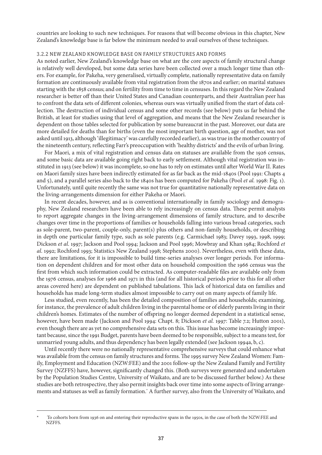countries are looking to such new techniques. For reasons that will become obvious in this chapter, New Zealand's knowledge base is far below the minimum needed to avail ourselves of these techniques.

#### 3.2.2 New Zealand Knowledge Base on Family Structures and Forms

As noted earlier, New Zealand's knowledge base on what are the core aspects of family structural change is relatively well developed, but some data series have been collected over a much longer time than others. For example, for Pakeha, very generalised, virtually complete, nationally representative data on family formation are continuously available from vital registration from the 1870s and earlier; on marital statuses starting with the 1858 census; and on fertility from time to time in censuses. In this regard the New Zealand researcher is better off than their United States and Canadian counterparts, and their Australian peer has to confront the data sets of different colonies, whereas ours was virtually unified from the start of data collection. The destruction of individual census and some other records (see below) puts us far behind the British, at least for studies using that level of aggregation, and means that the New Zealand researcher is dependent on those tables selected for publication by some bureaucrat in the past. Moreover, our data are more detailed for deaths than for births (even the most important birth question, age of mother, was not asked until 1913, although 'illegitimacy' was carefully recorded earlier), as was true in the mother country of the nineteenth century, reflecting Farr's preoccupation with 'healthy districts' and the evils of urban living.

For Maori, a mix of vital registration and census data on statuses are available from the 1926 census, and some basic data are available going right back to early settlement. Although vital registration was instituted in 1913 (see below) it was incomplete, so one has to rely on estimates until after World War II. Rates on Maori family sizes have been indirectly estimated for as far back as the mid-1840s (Pool 1991: Chapts 4 and 5), and a parallel series also back to the 1840s has been computed for Pakeha (Pool *et al.* 1998: Fig. 1). Unfortunately, until quite recently the same was not true for quantitative nationally representative data on the living-arrangements dimension for either Pakeha or Maori.

In recent decades, however, and as is conventional internationally in family sociology and demography, New Zealand researchers have been able to rely increasingly on census data. These permit analysts to report aggregate changes in the living-arrangement dimensions of family structure, and to describe changes over time in the proportions of families or households falling into various broad categories, such as sole-parent, two-parent, couple-only, parent(s) plus others and non-family households, or describing in depth one particular family type, such as sole parents (e.g. Carmichael 1983; Davey 1993, 1998, 1999; Dickson *et al*. 1997; Jackson and Pool 1994; Jackson and Pool 1996; Mowbray and Khan 1984; Rochford *et al*. 1992; Rochford 1993; Statistics New Zealand 1998; Stephens 2000). Nevertheless, even with these data, there are limitations, for it is impossible to build time-series analyses over longer periods. For information on dependent children and for most other data on household composition the 1966 census was the first from which such information could be extracted. As computer-readable files are available only from the 1976 census, analyses for 1966 and 1971 in this (and for all historical periods prior to this for all other areas covered here) are dependent on published tabulations. This lack of historical data on families and households has made long-term studies almost impossible to carry out on many aspects of family life.

Less studied, even recently, has been the detailed composition of families and households; examining, for instance, the prevalence of adult children living in the parental home or of elderly parents living in their children's homes. Estimates of the number of offspring no longer deemed dependent in a statistical sense, however, have been made (Jackson and Pool 1994: Chapt. 8; Dickson *et al.* 1997: Table 7.2; Hutton 2001), even though there are as yet no comprehensive data sets on this. This issue has become increasingly important because, since the 1991 Budget, parents have been deemed to be responsible, subject to a means test, for unmarried young adults, and thus dependency has been legally extended (see Jackson 1994a, b, c).

Until recently there were no nationally representative comprehensive surveys that could enhance what was available from the census on family structures and forms. The 1995 survey New Zealand Women: Family, Employment and Education (NZW:FEE) and the 2001 follow-up the New Zealand Family and Fertility Survey (NZFFS) have, however, significantly changed this. (Both surveys were generated and undertaken by the Population Studies Centre, University of Waikato, and are to be discussed further below.) As these studies are both retrospective, they also permit insights back over time into some aspects of living arrangements and statuses as well as family formation. A further survey, also from the University of Waikato, and

To cohorts born from 1936 on and entering their reproductive spans in the 1950s, in the case of both the NZW:FEE and NZFFS.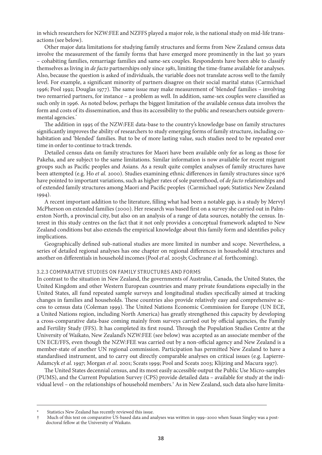in which researchers for NZW:FEE and NZFFS played a major role, is the national study on mid-life transactions (see below).

Other major data limitations for studying family structures and forms from New Zealand census data involve the measurement of the family forms that have emerged more prominently in the last 30 years – cohabiting families, remarriage families and same-sex couples. Respondents have been able to classify themselves as living in *de facto* partnerships only since 1981, limiting the time-frame available for analyses. Also, because the question is asked of individuals, the variable does not translate across well to the family level. For example, a significant minority of partners disagree on their social marital status (Carmichael 1996; Pool 1992; Douglas 1977). The same issue may make measurement of 'blended' families – involving two remarried partners, for instance – a problem as well. In addition, same-sex couples were classified as such only in 1996. As noted below, perhaps the biggest limitation of the available census data involves the form and costs of its dissemination, and thus its accessibility to the public and researchers outside governmental agencies.

The addition in 1995 of the NZW:FEE data-base to the country's knowledge base on family structures significantly improves the ability of researchers to study emerging forms of family structure, including cohabitation and 'blended' families. But to be of more lasting value, such studies need to be repeated over time in order to continue to track trends.

Detailed census data on family structures for Maori have been available only for as long as those for Pakeha, and are subject to the same limitations. Similar information is now available for recent migrant groups such as Pacific peoples and Asians. As a result quite complex analyses of family structures have been attempted (e.g. Ho *et al.* 2000). Studies examining ethnic differences in family structures since 1976 have pointed to important variations, such as higher rates of sole parenthood, of *de facto* relationships and of extended family structures among Maori and Pacific peoples (Carmichael 1996; Statistics New Zealand 1994).

A recent important addition to the literature, filling what had been a notable gap, is a study by Mervyl McPherson on extended families (2000). Her research was based first on a survey she carried out in Palmerston North, a provincial city, but also on an analysis of a range of data sources, notably the census. Interest in this study centres on the fact that it not only provides a conceptual framework adapted to New Zealand conditions but also extends the empirical knowledge about this family form and identifies policy implications.

Geographically defined sub-national studies are more limited in number and scope. Nevertheless, a series of detailed regional analyses has one chapter on regional differences in household structures and another on differentials in household incomes (Pool *et al.* 2005b; Cochrane *et al.* forthcoming).

#### 3.2.3 Comparative Studies on Family Structures and Forms

In contrast to the situation in New Zealand, the governments of Australia, Canada, the United States, the United Kingdom and other Western European countries and many private foundations especially in the United States, all fund repeated sample surveys and longitudinal studies specifically aimed at tracking changes in families and households. These countries also provide relatively easy and comprehensive access to census data (Coleman 1999). The United Nations Economic Commission for Europe (UN ECE, a United Nations region, including North America) has greatly strengthened this capacity by developing a cross-comparative data-base coming mainly from surveys carried out by official agencies, the Family and Fertility Study (FFS). It has completed its first round. Through the Population Studies Centre at the University of Waikato, New Zealand's NZW:FEE (see below) was accepted as an associate member of the UN ECE/FFS, even though the NZW:FEE was carried out by a non-official agency and New Zealand is a member-state of another UN regional commission. Participation has permitted New Zealand to have a standardised instrument, and to carry out directly comparable analyses on critical issues (e.g. Lapierre-Adamcyk *et al.* 1997; Morgan *et al.* 2001; Sceats 1999; Pool and Sceats 2003; Klijzing and Macura 1997).

The United States decennial census, and its most easily accessible output the Public Use Micro-samples (PUMS), and the Current Population Survey (CPS) provide detailed data – available for study at the individual level – on the relationships of household members. As in New Zealand, such data also have limita-

Statistics New Zealand has recently reviewed this issue.

Much of this text on comparative US-based data and analyses was written in 1999–2000 when Susan Singley was a postdoctoral fellow at the University of Waikato.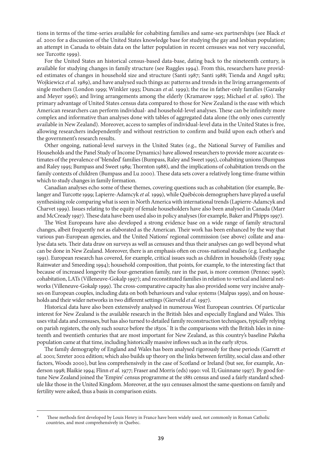tions in terms of the time-series available for cohabiting families and same-sex partnerships (see Black *et al*. 2000 for a discussion of the United States knowledge base for studying the gay and lesbian population; an attempt in Canada to obtain data on the latter population in recent censuses was not very successful, see Turcotte 1999).

For the United States an historical census-based data-base, dating back to the nineteenth century, is available for studying changes in family structure (see Ruggles 1994). From this, researchers have provided estimates of changes in household size and structure (Santi 1987; Santi 1988; Tienda and Angel 1982; Wojkiewicz *et al.* 1989), and have analysed such things as: patterns and trends in the living arrangements of single mothers (London 1999; Winkler 1993; Duncan *et al.* 1999); the rise in father-only families (Garasky and Meyer 1996); and living arrangements among the elderly (Kramarow 1995; Michael *et al.* 1980). The primary advantage of United States census data compared to those for New Zealand is the ease with which American researchers can perform individual- and household-level analyses. These can be infinitely more complex and informative than analyses done with tables of aggregated data alone (the only ones currently available in New Zealand). Moreover, access to samples of individual-level data in the United States is free, allowing researchers independently and without restriction to confirm and build upon each other's and the government's research results.

Other ongoing, national-level surveys in the United States (e.g., the National Survey of Families and Households and the Panel Study of Income Dynamics) have allowed researchers to provide more accurate estimates of the prevalence of 'blended' families (Bumpass, Raley and Sweet 1995), cohabiting unions (Bumpass and Raley 1995; Bumpass and Sweet 1989; Thornton 1988), and the implications of cohabitation trends on the family contexts of children (Bumpass and Lu 2000). These data sets cover a relatively long time-frame within which to study changes in family formation.

Canadian analyses echo some of these themes, covering questions such as cohabitation (for example, Belanger and Turcotte 1999; Lapierre-Adamcyk *et al.* 1999), while Québécois demographers have played a useful synthesising role comparing what is seen in North America with international trends (Lapierre-Adamcyk and Charvet 1999). Issues relating to the equity of female householders have also been analysed in Canada (Marr and McCready 1997). These data have been used also in policy analyses (for example, Baker and Phipps 1997).

The West Europeans have also developed a strong evidence base on a wide range of family structural changes, albeit frequently not as elaborated as the American. Their work has been enhanced by the way that various pan-European agencies, and the United Nations' regional commission (see above) collate and analyse data sets. Their data draw on surveys as well as censuses and thus their analyses can go well beyond what can be done in New Zealand. Moreover, there is an emphasis often on cross-national studies (e.g. Lesthaeghe 1991). European research has covered, for example, critical issues such as children in households (Festy 1994; Rainwater and Smeeding 1994); household composition, that points, for example, to the interesting fact that because of increased longevity the four-generation family, rare in the past, is more common (Pennec 1996); cohabitation, LATs (Villeneuve-Gokalp 1997); and reconstituted families in relation to vertical and lateral networks (Villeneuve-Gokalp 1999). The cross-comparative capacity has also provided some very incisive analyses on European couples, including data on both behaviours and value systems (Malpas 1999), and on households and their wider networks in two different settings (Gierveld *et al.* 1997).

Historical data have also been extensively analysed in numerous West European countries. Of particular interest for New Zealand is the available research in the British Isles and especially England and Wales. This uses vital data and censuses, but has also turned to detailed family reconstruction techniques, typically relying on parish registers, the only such source before the 1830s.<sup>\*</sup> It is the comparisons with the British Isles in nineteenth and twentieth centuries that are most important for New Zealand, as this country's baseline Pakeha population came at that time, including historically massive inflows such as in the early 1870s.

The family demography of England and Wales has been analysed rigorously for these periods (Garrett *et al*. 2001; Szreter 2002 edition; which also builds up theory on the links between fertility, social class and other factors, Woods 2000), but less comprehensively in the case of Scotland or Ireland (but see, for example, Anderson 1998; Blaikie 1994; Flinn *et al.* 1977; Fraser and Morris (eds) 1990: vol. II; Guinnane 1997). By good fortune New Zealand joined the 'Empire' census programme at the 1881 census and used a fairly standard schedule like those in the United Kingdom. Moreover, at the 1911 censuses almost the same questions on family and fertility were asked, thus a basis in comparison exists.

These methods first developed by Louis Henry in France have been widely used, not commonly in Roman Catholic countries, and most comprehensively in Quebec.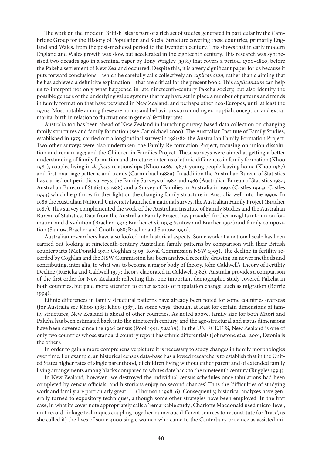The work on the 'modern' British Isles is part of a rich set of studies generated in particular by the Cambridge Group for the History of Population and Social Structure covering these countries, primarily England and Wales, from the post-medieval period to the twentieth century. This shows that in early modern England and Wales growth was slow, but accelerated in the eighteenth century. This research was synthesised two decades ago in a seminal paper by Tony Wrigley (1981) that covers a period, 1700–1820, before the Pakeha settlement of New Zealand occurred. Despite this, it is a very significant paper for us because it puts forward conclusions – which he carefully calls collectively an *explicandum*, rather than claiming that he has achieved a definitive explanation – that are critical for the present book. This *explicandum* can help us to interpret not only what happened in late nineteenth-century Pakeha society, but also identify the possible genesis of the underlying value systems that may have set in place a number of patterns and trends in family formation that have persisted in New Zealand, and perhaps other neo-Europes, until at least the 1970s. Most notable among these are norms and behaviours surrounding ex-nuptial conception and extramarital birth in relation to fluctuations in general fertility rates.

Australia too has been ahead of New Zealand in launching survey-based data collection on changing family structures and family formation (see Carmichael 2000). The Australian Institute of Family Studies, established in 1975, carried out a longitudinal survey in 1981/82: the Australian Family Formation Project. Two other surveys were also undertaken: the Family Re-formation Project, focusing on union dissolution and remarriage; and the Children in Families Project. These surveys were aimed at getting a better understanding of family formation and structure: in terms of ethnic differences in family formation (Khoo 1985), couples living in *de facto* relationships (Khoo 1986, 1987), young people leaving home (Khoo 1987) and first-marriage patterns and trends (Carmichael 1988a). In addition the Australian Bureau of Statistics has carried out periodic surveys: the Family Surveys of 1982 and 1986 (Australian Bureau of Statistics 1984; Australian Bureau of Statistics 1988) and a Survey of Families in Australia in 1992 (Castles 1993a; Castles 1994) which help throw further light on the changing family structure in Australia well into the 1990s. In 1986 the Australian National University launched a national survey, the Australian Family Project (Bracher 1987). This survey complemented the work of the Australian Institute of Family Studies and the Australian Bureau of Statistics. Data from the Australian Family Project has provided further insights into union formation and dissolution (Bracher 1990; Bracher *et al*. 1993; Santow and Bracher 1994) and family composition (Santow, Bracher and Guoth 1988; Bracher and Santow 1990).

Australian researchers have also looked into historical aspects. Some work at a national scale has been carried out looking at nineteenth-century Australian family patterns by comparison with their British counterparts (McDonald 1974; Coghlan 1903; Royal Commission NSW 1903). The decline in fertility recorded by Coghlan and the NSW Commission has been analysed recently, drawing on newer methods and contributing, inter alia, to what was to become a major body of theory, John Caldwell's Theory of Fertility Decline (Ruzicka and Caldwell 1977; theory elaborated in Caldwell 1982). Australia provides a comparison of the first order for New Zealand; reflecting this, one important demographic study covered Pakeha in both countries, but paid more attention to other aspects of population change, such as migration (Borrie 1994).

Ethnic differences in family structural patterns have already been noted for some countries overseas (for Australia see Khoo 1985; Khoo 1987). In some ways, though, at least for certain dimensions of family structures, New Zealand is ahead of other countries. As noted above, family size for both Maori and Pakeha has been estimated back into the nineteenth century, and the age-structural and status dimensions have been covered since the 1926 census (Pool 1991: *passim*). In the UN ECE/FFS, New Zealand is one of only two countries whose standard country report has ethnic differentials (Johnstone *et al.* 2001; Estonia is the other).

In order to gain a more comprehensive picture it is necessary to study changes in family morphologies over time. For example, an historical census data-base has allowed researchers to establish that in the United States higher rates of single parenthood, of children living without either parent and of extended family living arrangements among blacks compared to whites date back to the nineteenth century (Ruggles 1994).

In New Zealand, however, 'we destroyed the individual census schedules once tabulations had been completed by census officials, and historians enjoy no second chances'. Thus the 'difficulties of studying work and family are particularly great . . . (Thomson 1998: 6). Consequently, historical analyses have generally turned to expository techniques, although some other strategies have been employed. In the first case, in what its cover note appropriately calls a 'remarkable study', Charlotte Macdonald used micro-level, unit record-linkage techniques coupling together numerous different sources to reconstitute (or 'trace', as she called it) the lives of some 4000 single women who came to the Canterbury province as assisted mi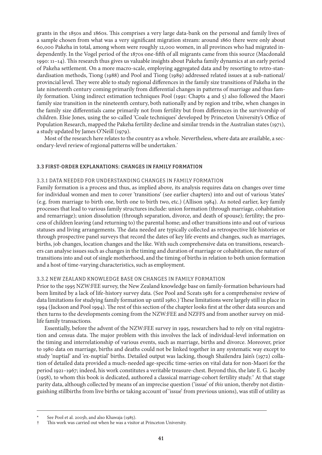grants in the 1850s and 1860s. This comprises a very large data-bank on the personal and family lives of a sample chosen from what was a very significant migration stream: around 1860 there were only about 60,000 Pakeha in total, among whom were roughly 12,000 women, in all provinces who had migrated independently. In the Vogel period of the 1870s one-fifth of all migrants came from this source (Macdonald 1990: 11–14). This research thus gives us valuable insights about Pakeha family dynamics at an early period of Pakeha settlement. On a more macro-scale, employing aggregated data and by resorting to retro-standardisation methods, Tiong (1988) and Pool and Tiong (1989) addressed related issues at a sub-national/ provincial level. They were able to study regional differences in the family size transitions of Pakeha in the late nineteenth century coming primarily from differential changes in patterns of marriage and thus family formation. Using indirect estimation techniques Pool (1991: Chapts 4 and 5) also followed the Maori family size transition in the nineteenth century, both nationally and by region and tribe, when changes in the family size differentials came primarily not from fertility but from differences in the survivorship of children. Elsie Jones, using the so-called 'Coale techniques' developed by Princeton University's Office of Population Research, mapped the Pakeha fertility decline and similar trends in the Australian states (1971), a study updated by James O'Neill (1979).

Most of the research here relates to the country as a whole. Nevertheless, where data are available, a secondary-level review of regional patterns will be undertaken.

#### 3.3 First-order Explanations: Changes in Family Formation

#### 3.3.1 Data Needed for Understanding Changes in Family Formation

Family formation is a process and thus, as implied above, its analysis requires data on changes over time for individual women and men to cover 'transitions' (see earlier chapters) into and out of various 'states' (e.g. from marriage to birth one, birth one to birth two, etc.) (Allison 1984). As noted earlier, key family processes that lead to various family structures include: union formation (through marriage, cohabitation and remarriage); union dissolution (through separation, divorce, and death of spouse); fertility; the process of children leaving (and returning to) the parental home; and other transitions into and out of various statuses and living arrangements. The data needed are typically collected as retrospective life histories or through prospective panel surveys that record the dates of key life events and changes, such as marriages, births, job changes, location changes and the like. With such comprehensive data on transitions, researchers can analyse issues such as changes in the timing and duration of marriage or cohabitation, the nature of transitions into and out of single motherhood, and the timing of births in relation to both union formation and a host of time-varying characteristics, such as employment.

#### 3.3.2 New Zealand Knowledge Base on Changes in Family Formation

Prior to the 1995 NZW:FEE survey, the New Zealand knowledge base on family-formation behaviours had been limited by a lack of life-history survey data. (See Pool and Sceats 1981 for a comprehensive review of data limitations for studying family formation up until 1980.) These limitations were largely still in place in 1994 (Jackson and Pool 1994). The rest of this section of the chapter looks first at the other data sources and then turns to the developments coming from the NZW:FEE and NZFFS and from another survey on midlife family transactions.

Essentially, before the advent of the NZW:FEE survey in 1995, researchers had to rely on vital registration and census data. The major problem with this involves the lack of individual-level information on the timing and interrelationship of various events, such as marriage, births and divorce. Moreover, prior to 1980 data on marriage, births and deaths could not be linked together in any systematic way except to study 'nuptial' and 'ex-nuptial' births. Detailed output was lacking, though Shailendra Jain's (1972) collation of detailed data provided a much-needed age-specific time-series on vital data for non-Maori for the period 1921–1967; indeed, his work constitutes a veritable treasure-chest. Beyond this, the late E. G. Jacoby (1958), to whom this book is dedicated, authored a classical marriage-cohort fertility study.<sup>†</sup> At that stage parity data, although collected by means of an imprecise question ('issue' of *this* union, thereby not distinguishing stillbirths from live births or taking account of 'issue' from previous unions), was still of utility as

See Pool et al. 2005b, and also Khawaja (1985).

This work was carried out when he was a visitor at Princeton University.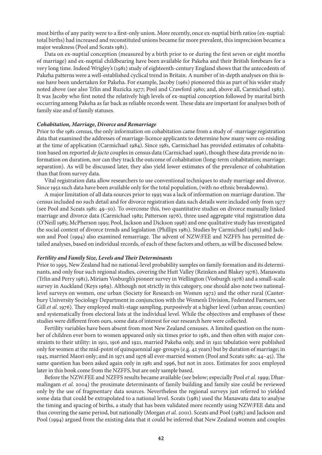most births of any parity were to a first-only union. More recently, once ex-nuptial birth ratios (ex-nuptial: total births) had increased and reconstituted unions became far more prevalent, this imprecision became a major weakness (Pool and Sceats 1981).

Data on ex-nuptial conception (measured by a birth prior to or during the first seven or eight months of marriage) and ex-nuptial childbearing have been available for Pakeha and their British forebears for a very long time. Indeed Wrigley's (1981) study of eighteenth-century England shows that the antecedents of Pakeha patterns were a well-established cyclical trend in Britain. A number of in-depth analyses on this issue have been undertaken for Pakeha. For example, Jacoby (1961) pioneered this as part of his wider study noted above (see also Trlin and Ruzicka 1977; Pool and Crawford 1980; and, above all, Carmichael 1982). It was Jacoby who first noted the relatively high levels of ex-nuptial conception followed by marital birth occurring among Pakeha as far back as reliable records went. These data are important for analyses both of family size and of family statuses.

#### *Cohabitation, Marriage, Divorce and Remarriage*

Prior to the 1981 census, the only information on cohabitation came from a study of -marriage registration data that examined the addresses of marriage-licence applicants to determine how many were co-residing at the time of application (Carmichael 1984). Since 1981, Carmichael has provided estimates of cohabitation based on reported *de facto* couples in census data (Carmichael 1996), though these data provide no information on duration, nor can they track the outcome of cohabitation (long-term cohabitation; marriage; separation). As will be discussed later, they also yield lower estimates of the prevalence of cohabitation than that from survey data.

Vital registration data allow researchers to use conventional techniques to study marriage and divorce. Since 1952 such data have been available only for the total population, (with no ethnic breakdowns).

A major limitation of all data sources prior to 1995 was a lack of information on marriage duration. The census included no such detail and for divorce registration data such details were included only from 1977 (see Pool and Sceats 1981: 49–50). To overcome this, two quantitative studies on divorce manually linked marriage and divorce data (Carmichael 1982; Patterson 1976), three used aggregate vital registration data (O'Neill 1985; McPherson 1995; Pool, Jackson and Dickson 1998) and one qualitative study has investigated the social context of divorce trends and legislation (Phillips 1981). Studies by Carmichael (1985) and Jackson and Pool (1994) also examined remarriage. The advent of NZW:FEE and NZFFS has permitted detailed analyses, based on individual records, of each of these factors and others, as will be discussed below.

#### *Fertility and Family Size, Levels and Their Determinants*

Prior to 1995, New Zealand had no national-level probability samples on family formation and its determinants, and only four such regional studies, covering the Hutt Valley (Reinken and Blakey 1976), Manawatu (Trlin and Perry 1981), Miriam Vosburgh's pioneer survey in Wellington (Vosburgh 1978) and a small-scale survey in Auckland (Keys 1969). Although not strictly in this category, one should also note two nationallevel surveys on women, one urban (Society for Research on Women 1972) and the other rural (Canterbury University Sociology Department in conjunction with the Women's Division, Federated Farmers, see Gill *et al.* 1976). They employed multi-stage sampling, purposively at a higher level (urban areas; counties) and systematically from electoral lists at the individual level. While the objectives and emphases of these studies were different from ours, some data of interest for our research here were collected.

Fertility variables have been absent from most New Zealand censuses. A limited question on the number of children ever born to women appeared only six times prior to 1981, and then often with major constraints to their utility: in 1911, 1916 and 1921, married Pakeha only, and in 1921 tabulation were published only for women at the mid-point of quinquennial age-groups (e.g. 42 years) but by duration of marriage; in 1945, married Maori only; and in 1971 and 1976 all ever-married women (Pool and Sceats 1981: 44–45). The same question has been asked again only in 1981 and 1996, but not in 2001. Estimates for 2001 employed later in this book come from the NZFFS, but are only sample based.

Before the NZW:FEE and NZFFS results became available (see below; especially Pool *et al.* 1999; Dharmalingam *et al.* 2004) the proximate determinants of family building and family size could be reviewed only by the use of fragmentary data sources. Nevertheless the regional surveys just referred to yielded some data that could be extrapolated to a national level. Sceats (1981) used the Manawatu data to analyse the timing and spacing of births, a study that has been validated more recently using NZW:FEE data and thus covering the same period, but nationally (Morgan *et al.* 2001). Sceats and Pool (1985) and Jackson and Pool (1994) argued from the existing data that it could be inferred that New Zealand women and couples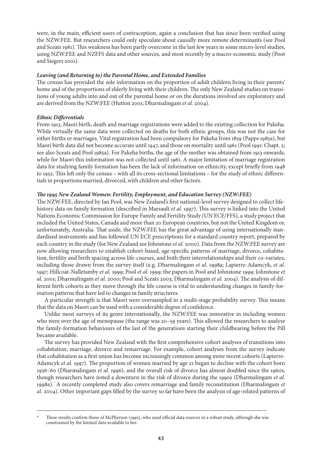were, in the main, efficient users of contraception, again a conclusion that has since been verified using the NZW:FEE. But researchers could only speculate about causally more remote determinants (see Pool and Sceats 1981). This weakness has been partly overcome in the last few years in some micro-level studies, using NZW:FEE and NZFFS data and other sources, and most recently by a macro-economic study (Poot and Siegers 2001).

# *Leaving (and Returning to) the Parental Home, and Extended Families*

The census has provided the sole information on the proportion of adult children living in their parents' home and of the proportions of elderly living with their children. The only New Zealand studies on transitions of young adults into and out of the parental home or on the durations involved are exploratory and are derived from the NZW:FEE (Hutton 2001; Dharmalingam *et al.* 2004).

# *Ethnic Differentials*

From 1913, Maori birth, death and marriage registrations were added to the existing collection for Pakeha. While virtually the same data were collected on deaths for both ethnic groups, this was not the case for either births or marriages. Vital registration had been compulsory for Pakeha from 1859 (Papps 1985a), but Maori birth data did not become accurate until 1947, and those on mortality until 1961 (Pool 1991: Chapt. 2; see also Sceats and Pool 1985a). For Pakeha births, the age of the mother was obtained from 1913 onwards, while for Maori this information was not collected until 1961. A major limitation of marriage registration data for studying family formation has been the lack of information on ethnicity, except briefly from 1948 to 1952. This left only the census – with all its cross-sectional limitations – for the study of ethnic differentials in proportions married, divorced, with children and other factors.

# *The 1995 New Zealand Women: Fertility, Employment, and Education Survey (NZW:FEE)*

The NZW:FEE, directed by Ian Pool, was New Zealand's first national-level survey designed to collect lifehistory data on family formation (described in Marsault *et al.* 1997). This survey is linked into the United Nations Economic Commission for Europe Family and Fertility Study (UN ECE/FFS), a study project that included the United States, Canada and more than 20 European countries, but not the United Kingdom or, unfortunately, Australia. That aside, the NZW:FEE has the great advantage of using internationally standardised instruments and has followed UN ECE prescriptions for a standard country report, prepared by each country in the study (for New Zealand see Johnstone *et al.* 2000). Data from the NZW:FEE survey are now allowing researchers to establish cohort-based, age-specific patterns of marriage, divorce, cohabitation, fertility and birth spacing across life-courses, and both their interrelationships and their co-variates, including those drawn from the survey itself (e.g. Dharmalingam *et al*. 1998a; Lapierre-Adamcyk, *et al.*  1997; Hillcoat-Nalletamby *et al.* 1999; Pool *et al.* 1999; the papers in Pool and Johnstone 1999; Johnstone *et al.* 2001; Dharmalingam *et al.* 2000; Pool and Sceats 2003; Dharmalingam *et al.* 2004). The analysis of different birth cohorts as they move through the life-course is vital to understanding changes in family-formation patterns that have led to changes in family structures.

A particular strength is that Maori were oversampled in a multi-stage probability survey. This means that the data on Maori can be used with a considerable degree of confidence.

Unlike most surveys of its genre internationally, the NZW:FEE was innovative in including women who were over the age of menopause (the range was 20–59 years). This allowed the researchers to analyse the family-formation behaviours of the last of the generations starting their childbearing before the Pill became available.

The survey has provided New Zealand with the first comprehensive cohort analyses of transitions into cohabitation, marriage, divorce and remarriage. For example, cohort analyses from the survey indicate that cohabitation as a first union has become increasingly common among more recent cohorts (Lapierre-Adamcyk *et al.* 1997). The proportion of women married by age 21 began to decline with the cohort born 1956–60 (Dharmalingam *et al*. 1996), and the overall risk of divorce has almost doubled since the 1960s, though researchers have noted a downturn in the risk of divorce during the 1990s (Dharmalingam *et al*. 1998a). A recently completed study also covers remarriage and family reconstitution (Dharmalingam *et al.* 2004). Other important gaps filled by the survey so far have been the analysis of age-related patterns of

These results confirm those of McPherson (1995), who used official data sources in a robust study, although she was constrained by the limited data available to her.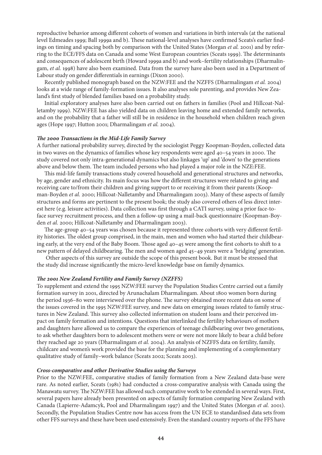reproductive behavior among different cohorts of women and variations in birth intervals (at the national level Edmeades 1999; Ball 1999a and b). These national-level analyses have confirmed Sceats's earlier findings on timing and spacing both by comparison with the United States (Morgan *et al.* 2001) and by referring to the ECE/FFS data on Canada and some West European countries (Sceats 1999). The determinants and consequences of adolescent birth (Howard 1999a and b) and work–fertility relationships (Dharmalingam, *et al.* 1998) have also been examined. Data from the survey have also been used in a Department of Labour study on gender differentials in earnings (Dixon 2000).

Recently published monograph based on the NZW:FEE and the NZFFS (Dharmalingam *et al.* 2004) looks at a wide range of family-formation issues. It also analyses sole parenting, and provides New Zealand's first study of blended families based on a probability study.

Initial exploratory analyses have also been carried out on fathers in families (Pool and Hillcoat-Nalletamby 1999). NZW:FEE has also yielded data on children leaving home and extended family networks, and on the probability that a father will still be in residence in the household when children reach given ages (Hope 1997; Hutton 2001; Dharmalingam *et al.* 2004).

#### *The 2000 Transactions in the Mid-Life Family Survey*

A further national probability survey, directed by the sociologist Peggy Koopman-Boyden, collected data in two waves on the dynamics of families whose key respondents were aged 40–54 years in 2000. The study covered not only intra-generational dynamics but also linkages 'up' and 'down' to the generations above and below them. The team included persons who had played a major role in the NZE:FEE.

This mid-life family transactions study covered household and generational structures and networks, by age, gender and ethnicity. Its main focus was how the different structures were related to giving and receiving care to/from their children and giving support to or receiving it from their parents (Koopman-Boyden *et al.* 2000; Hillcoat-Nalletamby and Dharmalingam 2003). Many of these aspects of family structures and forms are pertinent to the present book; the study also covered others of less direct interest here (e.g. leisure activities). Data collection was first through a CATI survey, using a prior face-toface survey recruitment process, and then a follow-up using a mail-back questionnaire (Koopman-Boyden *et al.* 2000; Hillcoat-Nalletamby and Dharmalingam 2003).

The age-group 40–54 years was chosen because it represented three cohorts with very different fertility histories. The oldest group comprised, in the main, men and women who had started their childbearing early, at the very end of the Baby Boom. Those aged 40–45 were among the first cohorts to shift to a new pattern of delayed childbearing. The men and women aged 45–49 years were a 'bridging' generation.

 Other aspects of this survey are outside the scope of this present book. But it must be stressed that the study did increase significantly the micro-level knowledge base on family dynamics.

# *The 2001 New Zealand Fertility and Family Survey (NZFFS)*

To supplement and extend the 1995 NZW:FEE survey the Population Studies Centre carried out a family formation survey in 2001, directed by Arunachalam Dharmalingam. About 1800 women born during the period 1936–80 were interviewed over the phone. The survey obtained more recent data on some of the issues covered in the 1995 NZW:FEE survey, and new data on emerging issues related to family structures in New Zealand. This survey also collected information on student loans and their perceived impact on family formation and intentions. Questions that interlinked the fertility behaviours of mothers and daughters have allowed us to compare the experiences of teenage childbearing over two generations, to ask whether daughters born to adolescent mothers were or were not more likely to bear a child before they reached age 20 years (Dharmalingam *et al.* 2004). An analysis of NZFFS data on fertility, family, childcare and women's work provided the base for the planning and implementing of a complementary qualitative study of family–work balance (Sceats 2002; Sceats 2003).

# *Cross-comparative and other Derivative Studies using the Surveys*

Prior to the NZW:FEE, comparative studies of family formation from a New Zealand data-base were rare. As noted earlier, Sceats (1981) had conducted a cross-comparative analysis with Canada using the Manawatu survey. The NZW:FEE has allowed such comparative work to be extended in several ways. First, several papers have already been presented on aspects of family formation comparing New Zealand with Canada (Lapierre-Adamcyk, Pool and Dharmalingam 1997) and the United States (Morgan *et al.* 2001). Secondly, the Population Studies Centre now has access from the UN ECE to standardised data sets from other FFS surveys and these have been used extensively. Even the standard country reports of the FFS have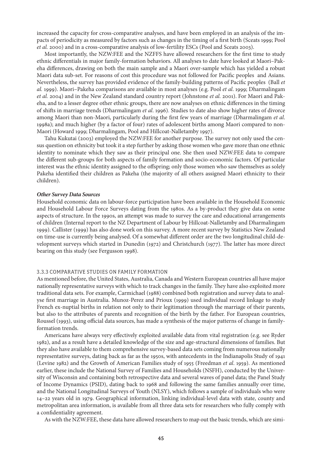increased the capacity for cross-comparative analyses, and have been employed in an analysis of the impacts of periodicity as measured by factors such as changes in the timing of a first birth (Sceats 1999; Pool *et al.* 2000) and in a cross-comparative analysis of low-fertility ESCs (Pool and Sceats 2003).

Most importantly, the NZW:FEE and the NZFFS have allowed researchers for the first time to study ethnic differentials in major family-formation behaviors. All analyses to date have looked at Maori–Pakeha differences, drawing on both the main sample and a Maori over-sample which has yielded a robust Maori data sub-set. For reasons of cost this procedure was not followed for Pacific peoples and Asians. Nevertheless, the survey has provided evidence of the family-building patterns of Pacific peoples (Ball *et al.* 1999). Maori–Pakeha comparisons are available in most analyses (e.g. Pool *et al*. 1999; Dharmalingam *et al.* 2004) and in the New Zealand standard country report (Johnstone *et al.* 2001). For Maori and Pakeha, and to a lesser degree other ethnic groups, there are now analyses on ethnic differences in the timing of shifts in marriage trends (Dharmalingam *et al*. 1996). Studies to date also show higher rates of divorce among Maori than non-Maori, particularly during the first few years of marriage (Dharmalingam *et al*. 1998a); and much higher (by a factor of four) rates of adolescent births among Maori compared to non-Maori (Howard 1999; Dharmalingam, Pool and Hillcoat-Nalletamby 1997).

Tahu Kukutai (2003) employed the NZW:FEE for another purpose. The survey not only used the census question on ethnicity but took it a step further by asking those women who gave more than one ethnic identity to nominate which they saw as their principal one. She then used NZW:FEE data to compare the different sub-groups for both aspects of family formation and socio-economic factors. Of particular interest was the ethnic identity assigned to the offspring; only those women who saw themselves as solely Pakeha identified their children as Pakeha (the majority of all others assigned Maori ethnicity to their children).

#### *Other Survey Data Sources*

Household economic data on labour-force participation have been available in the Household Economic and Household Labour Force Surveys dating from the 1980s. As a by-product they give data on some aspects of structure. In the 1990s, an attempt was made to survey the care and educational arrangements of children (Internal report to the NZ Department of Labour by Hillcoat-Nalletamby and Dharmalingam 1999). Callister (1999) has also done work on this survey. A more recent survey by Statistics New Zealand on time-use is currently being analysed. Of a somewhat different order are the two longitudinal child-development surveys which started in Dunedin (1972) and Christchurch (1977). The latter has more direct bearing on this study (see Fergusson 1998).

#### 3.3.3 Comparative Studies on Family Formation

As mentioned before, the United States, Australia, Canada and Western European countries all have major nationally representative surveys with which to track changes in the family. They have also exploited more traditional data sets. For example, Carmichael (1988) combined both registration and survey data to analyse first marriage in Australia. Munoz-Perez and Prioux (1999) used individual record linkage to study French ex-nuptial births in relation not only to their legitimation through the marriage of their parents, but also to the attributes of parents and recognition of the birth by the father. For European countries, Roussel (1993), using official data sources, has made a synthesis of the major patterns of change in familyformation trends.

Americans have always very effectively exploited available data from vital registration (e.g. see Ryder 1982), and as a result have a detailed knowledge of the size and age-structural dimensions of families. But they also have available to them comprehensive survey-based data sets coming from numerous nationally representative surveys, dating back as far as the 1950s, with antecedents in the Indianapolis Study of 1941 (Levine 1982) and the Growth of American Families study of 1955 (Freedman *et al*. 1959). As mentioned earlier, these include the National Survey of Families and Households (NSFH), conducted by the University of Wisconsin and containing both retrospective data and several waves of panel data; the Panel Study of Income Dynamics (PSID), dating back to 1968 and following the same families annually over time, and the National Longitudinal Surveys of Youth (NLSY), which follows a sample of individuals who were 14–22 years old in 1979. Geographical information, linking individual-level data with state, county and metropolitan area information, is available from all three data sets for researchers who fully comply with a confidentiality agreement.

As with the NZW:FEE, these data have allowed researchers to map out the basic trends, which are simi-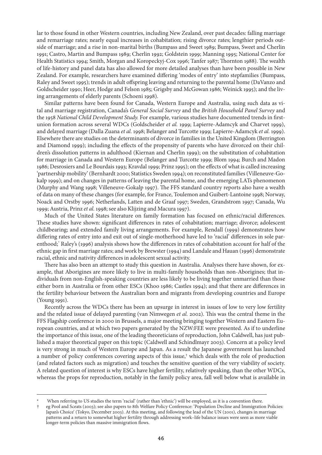lar to those found in other Western countries, including New Zealand, over past decades: falling marriage and remarriage rates; nearly equal increases in cohabitation; rising divorce rates; lengthier periods outside of marriage; and a rise in non-marital births (Bumpass and Sweet 1989; Bumpass, Sweet and Cherlin 1991; Castro, Martin and Bumpass 1989; Cherlin 1992; Goldstein 1999; Manning 1995; National Center for Health Statistics 1994; Smith, Morgan and Koropeckyj-Cox 1996; Tanfer 1987; Thornton 1988). The wealth of life-history and panel data has also allowed for more detailed analyses than have been possible in New Zealand. For example, researchers have examined differing 'modes of entry' into stepfamilies (Bumpass, Raley and Sweet 1995); trends in adult offspring leaving and returning to the parental home (DaVanzo and Goldscheider 1990; Heer, Hodge and Felson 1985; Grigsby and McGowan 1986; Weinick 1995); and the living arrangements of elderly parents (Schoeni 1998).

Similar patterns have been found for Canada, Western Europe and Australia, using such data as vital and marriage registration, Canada's *General Social Survey* and the *British Household Panel Survey* and the 1958 *National Child Development Study.* For example, various studies have documented trends in firstunion formation across several WDCs (Goldscheider *et al.* 1999; Lapierre-Adamcyk and Charvet 1999), and delayed marriage (Dalla Zuana *et al.* 1998; Belanger and Turcotte 1999; Lapierre-Adamcyk *et al.* 1999). Elsewhere there are studies on the determinants of divorce in families in the United Kingdom (Berrington and Diamond 1999); including the effects of the propensity of parents who have divorced on their children's dissolution patterns in adulthood (Kiernan and Cherlin 1999); on the substitution of cohabitation for marriage in Canada and Western Europe (Belanger and Turcotte 1999; Blom 1994; Burch and Madon 1986; Desrosiers and Le Bourdais 1993; Kravdal 1999; Prinz 1995); on the effects of what is called increasing 'partnership mobility' (Bernhardt 2000; Statistics Sweden 1994); on reconstituted families (Villeneuve-Gokalp 1999); and on changes in patterns of leaving the parental home, and the emerging LATs phenomenon (Murphy and Wang 1998; Villeneuve-Gokalp 1997). The FFS standard country reports also have a wealth of data on many of these changes (for example, for France, Toulemon and Guibert-Lantoine 1998; Norway, Noack and Orstby 1996; Netherlands, Latten and de Graaf 1997; Sweden, Grandstrom 1997; Canada, Wu 1999; Austria, Prinz *et al.* 1998; see also Klijzing and Macura 1997).

Much of the United States literature on family formation has focused on ethnic/racial differences. These studies have shown: significant differences in rates of cohabitation; marriage; divorce; adolescent childbearing; and extended family living arrangements. For example, Rendall (1999) demonstrates how differing rates of entry into and exit out of single-motherhood have led to 'racial' differences in sole parenthood; Raley's (1996) analysis shows how the differences in rates of cohabitation account for half of the ethnic gap in first marriage rates; and work by Brewster (1994) and Landale and Hauan (1996) demonstrate racial, ethnic and nativity differences in adolescent sexual activity.

There has also been an attempt to study this question in Australia. Analyses there have shown, for example, that Aborigines are more likely to live in multi-family households than non-Aborigines; that individuals from non-English-speaking countries are less likely to be living together unmarried than those either born in Australia or from other ESCs (Khoo 1986; Castles 1994); and that there are differences in the fertility behaviour between the Australian born and migrants from developing countries and Europe (Young 1991).

Recently across the WDCs there has been an upsurge in interest in issues of low to very low fertility and the related issue of delayed parenting (van Nimwegen *et al.* 2002). This was the central theme in the FFS Flagship conference in 2000 in Brussels, a major meeting bringing together Western and Eastern European countries, and at which two papers generated by the NZW:FEE were presented. As if to underline the importance of this issue, one of the leading theoreticians of reproduction, John Caldwell, has just published a major theoretical paper on this topic (Caldwell and Schindlmayr 2003). Concern at a policy level is very strong in much of Western Europe and Japan. As a result the Japanese government has launched a number of policy conferences covering aspects of this issue,<sup>†</sup> which deals with the role of production (and related factors such as migration) and touches the sensitive question of the very viability of society. A related question of interest is why ESCs have higher fertility, relatively speaking, than the other WDCs, whereas the props for reproduction, notably in the family policy area, fall well below what is available in

When referring to US studies the term 'racial' (rather than 'ethnic') will be employed, as it is a convention there.

eg Pool and Sceats (2003); see also papers to 8th Welfare Policy Conference: 'Population Decline and Immigration Policies: Japan's Choice' (Tokyo, December 2003). At this meeting, and following the lead of the UN (2001), changes in marriage patterns and a return to somewhat higher fertility through addressing work–life balance issues were seen as more viable longer-term policies than massive immigration flows.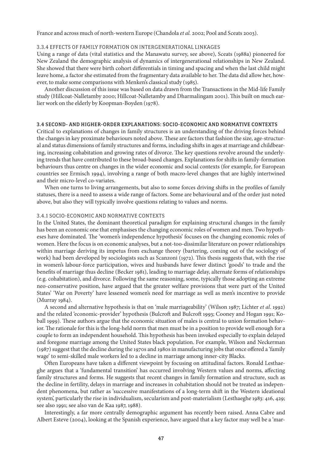France and across much of north-western Europe (Chandola *et al.* 2002; Pool and Sceats 2003).

#### 3.3.4 Effects of Family Formation on Intergenerational Linkages

Using a range of data (vital statistics and the Manawatu survey, see above), Sceats (1988a) pioneered for New Zealand the demographic analysis of dynamics of intergenerational relationships in New Zealand. She showed that there were birth cohort differentials in timing and spacing and when the last child might leave home, a factor she estimated from the fragmentary data available to her. The data did allow her, however, to make some comparisons with Menken's classical study (1985).

Another discussion of this issue was based on data drawn from the Transactions in the Mid-life Family study (Hillcoat-Nalletamby 2000; Hillcoat-Nalletamby and Dharmalingam 2001). This built on much earlier work on the elderly by Koopman-Boyden (1978).

#### 3.4 Second- and Higher-order Explanations: Socio-economic and Normative Contexts

Critical to explanations of changes in family structures is an understanding of the driving forces behind the changes in key proximate behaviours noted above. These are factors that fashion the size, age-structural and status dimensions of family structures and forms, including shifts in ages at marriage and childbearing, increasing cohabitation and growing rates of divorce. The key questions revolve around the underlying trends that have contributed to these broad-based changes. Explanations for shifts in family-formation behaviours thus centre on changes in the wider economic and social contexts (for example, for European countries see Ermisch 1994), involving a range of both macro-level changes that are highly intertwined and their micro-level co-variates.

When one turns to living arrangements, but also to some forces driving shifts in the profiles of family statuses, there is a need to assess a wide range of factors. Some are behavioural and of the order just noted above, but also they will typically involve questions relating to values and norms.

# 3.4.1 Socio-economic and Normative Contexts

In the United States, the dominant theoretical paradigm for explaining structural changes in the family has been an economic one that emphasises the changing economic roles of women and men. Two hypotheses have dominated. The 'women's independence hypothesis' focuses on the changing economic roles of women. Here the focus is on economic analyses, but a not-too-dissimilar literature on power relationships within marriage deriving its impetus from exchange theory (bartering, coming out of the sociology of work) had been developed by sociologists such as Scanzoni (1972). This thesis suggests that, with the rise in women's labour-force participation, wives and husbands have fewer distinct 'goods' to trade and the benefits of marriage thus decline (Becker 1981), leading to marriage delay, alternate forms of relationships (e.g. cohabitation), and divorce. Following the same reasoning, some, typically those adopting an extreme neo-conservative position, have argued that the greater welfare provisions that were part of the United States' 'War on Poverty' have lessened women's need for marriage as well as men's incentive to provide (Murray 1984).

A second and alternative hypothesis is that on 'male marriageability' (Wilson 1987; Lichter *et al*. 1992) and the related 'economic-provider' hypothesis (Bulcroft and Bulcroft 1993; Cooney and Hogan 1991; Koball 1999). These authors argue that the economic situation of males is central to union formation behavior. The rationale for this is the long-held norm that men must be in a position to provide well enough for a couple to form an independent household. This hypothesis has been invoked especially to explain delayed and foregone marriage among the United States black population. For example, Wilson and Neckerman (1987) suggest that the decline during the 1970s and 1980s in manufacturing jobs that once offered a 'family wage' to semi-skilled male workers led to a decline in marriage among inner-city Blacks.

Often Europeans have taken a different viewpoint by focusing on attitudinal factors. Ronald Lesthaeghe argues that a 'fundamental transition' has occurred involving Western values and norms, affecting family structures and forms. He suggests that recent changes in family formation and structure, such as the decline in fertility, delays in marriage and increases in cohabitation should not be treated as independent phenomena, but rather as 'successive manifestations of a long-term shift in the Western ideational system', particularly the rise in individualism, secularism and post-materialism (Lesthaeghe 1983: 416, 429; see also 1991; see also van de Kaa 1987, 1988).

Interestingly, a far more centrally demographic argument has recently been raised. Anna Cabre and Albert Esteve (2004), looking at the Spanish experience, have argued that a key factor may well be a 'mar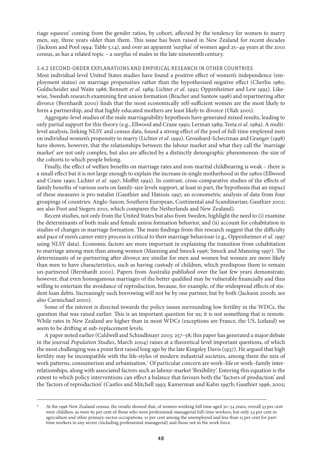riage squeeze' coming from the gender ratios, by cohort, affected by the tendency for women to marry men, say, three years older than them. This issue has been raised in New Zealand for recent decades (Jackson and Pool 1994: Table 5.14), and over an apparent 'surplus' of women aged 25–49 years at the 2001 census, as has a related topic – a surplus of males in the late nineteenth century.

#### 3.4.2 Second-order Explanations and Empirical Research in Other Countries

Most individual-level United States studies have found a positive effect of women's independence (employment status) on marriage propensities rather than the hypothesised negative effect (Cherlin 1980; Goldscheider and Waite 1986; Bennett *et al*. 1989; Lichter *et al*. 1992; Oppenheimer and Lew 1995). Likewise, Swedish research examining first union formation (Bracher and Santow 1998) and repartnering after divorce (Bernhardt 2000) finds that the most economically self-sufficient women are the most likely to form a partnership, and that highly educated mothers are least likely to divorce (Olah 2001).

Aggregate-level studies of the male marriageability hypothesis have generated mixed results, leading to only partial support for this theory (e.g., Ellwood and Crane 1990; Lerman 1989; Testa *et al*. 1989). A multilevel analysis, linking NLSY and census data, found a strong effect of the pool of full-time employed men on individual women's propensity to marry (Lichter *et al*. 1992). Grossbard-Schectman and Granger (1998) have shown, however, that the relationships between the labour market and what they call the 'marriage market' are not only complex, but also are affected by a distinctly demographic phenomenon: the size of the cohorts to which people belong.

Finally, the effect of welfare benefits on marriage rates and non-marital childbearing is weak – there is a small effect but it is not large enough to explain the increase in single motherhood in the 1980s (Ellwood and Crane 1990; Lichter *et al*. 1997; Moffitt 1992). In contrast, cross-comparative studies of the effects of family benefits of various sorts on family-size levels support, at least in part, the hypothesis that an impact of these measures is pro-natalist (Gauthier and Hatzuis 1997, an econometric analysis of data from four groupings of countries: Anglo-Saxon, Southern European, Continental and Scandinavian; Gauthier 2002; see also Poot and Siegers 2001, which compares the Netherlands and New Zealand).

Recent studies, not only from the United States but also from Sweden, highlight the need to (i) examine the determinants of both male and female union formation behavior, and (ii) account for cohabitation in studies of changes in marriage formation. The main findings from this research suggest that the difficulty and pace of men's career entry process is critical to their marriage behaviour (e.g., Oppenheimer *et al.* 1997 using NLSY data). Economic factors are more important in explaining the transition from cohabitation to marriage among men than among women (Manning and Smock 1996; Smock and Manning 1997). The determinants of re-partnering after divorce are similar for men and women but women are more likely than men to have characteristics, such as having custody of children, which predispose them to remain un-partnered (Bernhardt 2000). Papers from Australia published over the last few years demonstrate, however, that even homogamous marriages of the better qualified may be vulnerable financially and thus willing to entertain the avoidance of reproduction, because, for example, of the widespread effects of student loan debts. Increasingly such borrowing will not be by one partner, but by both (Jackson 2000b; see also Carmichael 2000).

Some of the interest is directed towards the policy issues surrounding low fertility in the WDCs, the question that was raised earlier. This is an important question for us; it is not something that is remote. While rates in New Zealand are higher than in most WDCs (exceptions are France, the US, Iceland) we seem to be drifting at sub-replacement levels.

A paper noted earlier (Caldwell and Schindlmayr 2003: 257–58; this paper has generated a major debate in the journal *Population Studies*, March 2004) raises at a theoretical level important questions, of which the most challenging was a point first raised long ago by the late Kingsley Davis (1937). He argued that high fertility may be incompatible with the life-styles of modern industrial societies, among them the mix of work patterns, consumerism and urbanisation. Of particular concern are work–life or work–family interrelationships, along with associated factors such as labour-market 'flexibility'. Entering this equation is the extent to which policy interventions can effect a balance that favours both the 'factors of production' and the 'factors of reproduction' (Castles and Mitchell 1993; Kamerman and Kahn 1997b; Gauthier 1996, 2002;

At the 1996 New Zealand census, the results showed that, of women working full time aged 30–34 years, overall 53 per cent were childless, as were 65 per cent of those who were professional-managerial full-time workers, but only 24 per cent in agriculture and other primary-sector occupations, 21 per cent among the unemployed and less than 15 per cent for parttime workers in any sector (including professional-managerial) and those not in the work force.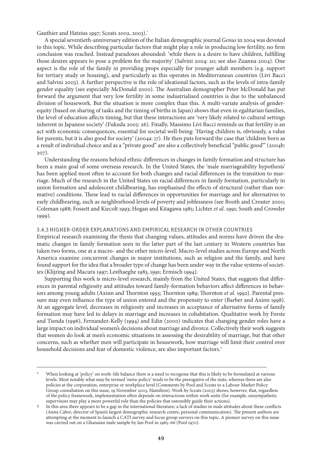Gauthier and Hatzius 1997; Sceats 2002, 2003).

A special seventieth-anniversary edition of the Italian demographic journal *Genus* in 2004 was devoted to this topic. While describing particular factors that might play a role in producing low fertility, no firm conclusion was reached. Instead paradoxes abounded: 'while there is a desire to have children, fulfilling those desires appears to pose a problem for the majority' (Salvini 2004: 20; see also Zuanna 2004). One aspect is the role of the family in providing props especially for younger adult members (e.g. support for tertiary study or housing), and particularly as this operates in Mediterranean countries (Livi Bacci and Salvini 2003). A further perspective is the role of ideational factors, such as the levels of intra-family gender equality (see especially McDonald 2000). The Australian demographer Peter McDonald has put forward the argument that very low fertility in some industrialised countries is due to the unbalanced division of housework. But the situation is more complex than this. A multi-variate analysis of genderequity (based on sharing of tasks and the timing of births in Japan) shows that even in egalitarian families, the level of education affects timing, but that these interactions are 'very likely related to cultural settings inherent in Japanese society' (Fukuda 2005: 26). Finally, Massimo Livi Bacci reminds us that fertility is an act with economic consequences, essential for societal well-being: 'Having children is, obviously, a value for parents, but it is also good for society' (2004a: 17). He then puts forward the case that 'children born as a result of individual choice and as a "private good" are also a collectively beneficial "public good" (2004b: 207).

Understanding the reasons behind ethnic differences in changes in family formation and structure has been a main goal of some overseas research. In the United States, the 'male marriageability hypothesis' has been applied most often to account for both changes and racial differences in the transition to marriage. Much of the research in the United States on racial differences in family formation, particularly in union formation and adolescent childbearing, has emphasised the effects of structural (rather than normative) conditions. These lead to racial differences in opportunities for marriage and for alternatives to early childbearing, such as neighborhood levels of poverty and joblessness (see Booth and Crouter 2000; Coleman 1988; Fossett and Kiecolt 1993; Hogan and Kitagawa 1985; Lichter *et al*. 1991; South and Crowder 1999).

# 3.4.3 Higher-order Explanations and Empirical Research in Other Countries

Empirical research examining the thesis that changing values, attitudes and norms have driven the dramatic changes in family formation seen in the latter part of the last century in Western countries has taken two forms, one at a macro- and the other micro-level. Macro-level studies across Europe and North America examine concurrent changes in major institutions, such as religion and the family, and have found support for the idea that a broader type of change has been under way in the value systems of societies (Klijzing and Macura 1997; Lesthaeghe 1983, 1991; Ermisch 1994).

Supporting this work is micro-level research, mainly from the United States, that suggests that differences in parental religiosity and attitudes toward family-formation behaviors affect differences in behaviors among young adults (Axinn and Thornton 1993; Thornton 1989; Thornton *et al.* 1992). Parental pressure may even influence the type of union entered and the propensity to enter (Barber and Axinn 1998). At an aggregate level, decreases in religiosity and increases in acceptance of alternative forms of family formation may have led to delays in marriage and increases in cohabitation. Qualitative work by Forste and Tienda (1996), Fernandez-Kelly (1994) and Edin (2000) indicates that changing gender roles have a large impact on individual women's decisions about marriage and divorce. Collectively their work suggests that women do look at men's economic situations in assessing the desirability of marriage, but that other concerns, such as whether men will participate in housework, how marriage will limit their control over household decisions and fear of domestic violence, are also important factors.<sup>†</sup>

When looking at 'policy' on work–life balance there is a need to recognise that this is likely to be formulated at various levels. Most notably what may be termed 'meta-policy' tends to be the prerogative of the state, whereas there are also policies at the corporation, enterprise or workplace level (Comments by Pool and Sceats to a Labour Market Policy Group consultation on this issue, 19 November 2003, Hamilton). Work by Sceats (2003) shows, however, that, regardless of the policy framework, implementation often depends on interactions within work units (for example, unsympathetic supervisors may play a more powerful role than the policies that ostensibly guide their actions).

In this area there appears to be a gap in the international literature; a lack of studies in male attitudes about these conflicts (Anna Cabre, director of Spain's largest demographic research centre, personal communication). The present authors are attempting at the moment to launch a CATI survey and focus group surveys on this topic. A pioneer survey on this issue was carried out on a Ghanaian male sample by Ian Pool in 1965–66 (Pool 1970).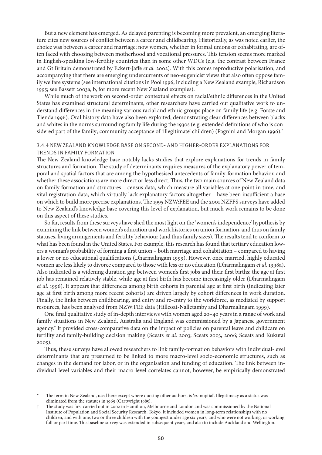But a new element has emerged. As delayed parenting is becoming more prevalent, an emerging literature cites new sources of conflict between a career and childbearing. Historically, as was noted earlier, the choice was between a career and marriage; now women, whether in formal unions or cohabitating, are often faced with choosing between motherhood and vocational pressures. This tension seems more marked in English-speaking low-fertility countries than in some other WDCs (e.g. the contrast between France and Gt Britain demonstrated by Eckert-Jaffe *et al.* 2002). With this comes reproductive polarisation, and accompanying that there are emerging undercurrents of neo-eugenicist views that also often oppose family welfare systems (see international citations in Pool 1996, including a New Zealand example, Richardson 1995; see Bassett 2003a, b, for more recent New Zealand examples).

While much of the work on second-order contextual effects on racial/ethnic differences in the United States has examined structural determinants, other researchers have carried out qualitative work to understand differences in the meaning various racial and ethnic groups place on family life (e.g. Forste and Tienda 1996). Oral history data have also been exploited, demonstrating clear differences between blacks and whites in the norms surrounding family life during the 1930s (e.g. extended definitions of who is considered part of the family; community acceptance of 'illegitimate' children) (Pagnini and Morgan 1996).

## 3.4.4 New Zealand Knowledge Base on Second- and Higher-Order Explanations for Trends in Family Formation

The New Zealand knowledge base notably lacks studies that explore explanations for trends in family structures and formation. The study of determinants requires measures of the explanatory power of temporal and spatial factors that are among the hypothesised antecedents of family-formation behavior, and whether these associations are more direct or less direct. Thus, the two main sources of New Zealand data on family formation and structures – census data, which measure all variables at one point in time, and vital registration data, which virtually lack explanatory factors altogether – have been insufficient a base on which to build more precise explanations. The 1995 NZW:FEE and the 2001 NZFFS surveys have added to New Zealand's knowledge base covering this level of explanation, but much work remains to be done on this aspect of these studies.

So far, results from these surveys have shed the most light on the 'women's independence' hypothesis by examining the link between women's education and work histories on union formation, and thus on family statuses, living arrangements and fertility behaviour (and thus family sizes). The results tend to conform to what has been found in the United States. For example, this research has found that tertiary education lowers a woman's probability of forming a first union – both marriage and cohabitation – compared to having a lower or no educational qualifications (Dharmalingam 1999). However, once married, highly educated women are less likely to divorce compared to those with less or no education (Dharmalingam *et al*. 1998a). Also indicated is a widening duration gap between women's first jobs and their first births: the age at first job has remained relatively stable, while age at first birth has become increasingly older (Dharmalingam *et al.* 1996). It appears that differences among birth cohorts in parental age at first birth (indicating later age at first birth among more recent cohorts) are driven largely by cohort differences in work duration. Finally, the links between childbearing, and entry and re-entry to the workforce, as mediated by support resources, has been analysed from NZW:FEE data (Hillcoat-Nalletamby and Dharmalingam 1999).

One final qualitative study of in-depth interviews with women aged 20–40 years in a range of work and family situations in New Zealand, Australia and England was commissioned by a Japanese government agency. It provided cross-comparative data on the impact of policies on parental leave and childcare on fertility and family-building decision making (Sceats *et al.* 2003; Sceats 2003, 2006; Sceats and Kukutai 2005).

Thus, these surveys have allowed researchers to link family-formation behaviors with individual-level determinants that are presumed to be linked to more macro-level socio-economic structures, such as changes in the demand for labor, or in the organisation and funding of education. The link between individual-level variables and their macro-level correlates cannot, however, be empirically demonstrated

The term in New Zealand, used here except where quoting other authors, is 'ex-nuptial'. Illegitimacy as a status was eliminated from the statutes in 1969 (Cartwright 1985).

The study was first carried out in 2002 in Hamilton, Melbourne and London and was commissioned by the National Institute of Population and Social Security Research, Tokyo. It included women in long-term relationships with no children, and with one, two or three children with the youngest under age six years, and who were not working, or working full or part time. This baseline survey was extended in subsequent years, and also to include Auckland and Wellington.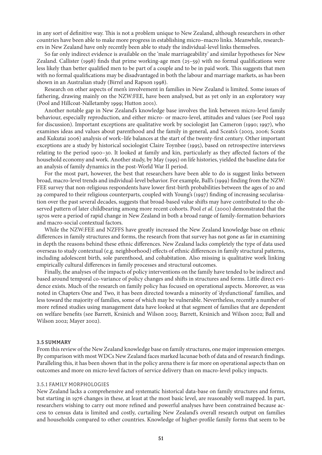in any sort of definitive way. This is not a problem unique to New Zealand, although researchers in other countries have been able to make more progress in establishing micro–macro links. Meanwhile, researchers in New Zealand have only recently been able to study the individual-level links themselves.

So far only indirect evidence is available on the 'male marriageability' and similar hypotheses for New Zealand. Callister (1998) finds that prime working-age men (25–59) with no formal qualifications were less likely than better qualified men to be part of a couple and to be in paid work. This suggests that men with no formal qualifications may be disadvantaged in both the labour and marriage markets, as has been shown in an Australian study (Birrel and Rapson 1998).

Research on other aspects of men's involvement in families in New Zealand is limited. Some issues of fathering, drawing mainly on the NZW:FEE, have been analysed, but as yet only in an exploratory way (Pool and Hillcoat-Nalletamby 1999; Hutton 2001).

Another notable gap in New Zealand's knowledge base involves the link between micro-level family behaviour, especially reproduction, and either micro- or macro-level, attitudes and values (see Pool 1992 for discussion). Important exceptions are qualitative work by sociologist Jan Cameron (1990; 1997), who examines ideas and values about parenthood and the family in general, and Sceats's (2003, 2006; Sceats and Kukutai 2006) analysis of work–life balances at the start of the twenty-first century. Other important exceptions are a study by historical sociologist Claire Toynbee (1995), based on retrospective interviews relating to the period 1900–30. It looked at family and kin, particularly as they affected factors of the household economy and work. Another study, by May (1995) on life histories, yielded the baseline data for an analysis of family dynamics in the post-World War II period.

For the most part, however, the best that researchers have been able to do is suggest links between broad, macro-level trends and individual-level behavior. For example, Ball's (1999) finding from the NZW: FEE survey that non-religious respondents have lower first-birth probabilities between the ages of 20 and 29 compared to their religious counterparts, coupled with Young's (1997) finding of increasing secularisation over the past several decades, suggests that broad-based value shifts may have contributed to the observed pattern of later childbearing among more recent cohorts. Pool *et al*. (2000) demonstrated that the 1970s were a period of rapid change in New Zealand in both a broad range of family-formation behaviors and macro-social contextual factors.

While the NZW:FEE and NZFFS have greatly increased the New Zealand knowledge base on ethnic differences in family structures and forms, the research from that survey has not gone as far in examining in depth the reasons behind these ethnic differences. New Zealand lacks completely the type of data used overseas to study contextual (e.g. neighborhood) effects of ethnic differences in family structural patterns, including adolescent birth, sole parenthood, and cohabitation. Also missing is qualitative work linking empirically cultural differences in family processes and structural outcomes.

Finally, the analyses of the impacts of policy interventions on the family have tended to be indirect and based around temporal co-variance of policy changes and shifts in structures and forms. Little direct evidence exists. Much of the research on family policy has focused on operational aspects. Moreover, as was noted in Chapters One and Two, it has been directed towards a minority of 'dysfunctional' families, and less toward the majority of families, some of which may be vulnerable. Nevertheless, recently a number of more refined studies using management data have looked at that segment of families that are dependent on welfare benefits (see Barrett, Krsinich and Wilson 2003; Barrett, Krsinich and Wilson 2002; Ball and Wilson 2002; Mayer 2002).

#### 3.5 Summary

From this review of the New Zealand knowledge base on family structures, one major impression emerges. By comparison with most WDCs New Zealand faces marked lacunae both of data and of research findings. Paralleling this, it has been shown that in the policy arena there is far more on operational aspects than on outcomes and more on micro-level factors of service delivery than on macro-level policy impacts.

# 3.5.1 Family Morphologies

New Zealand lacks a comprehensive and systematic historical data-base on family structures and forms, but starting in 1976 changes in these, at least at the most basic level, are reasonably well mapped. In part, researchers wishing to carry out more refined and powerful analyses have been constrained because access to census data is limited and costly, curtailing New Zealand's overall research output on families and households compared to other countries. Knowledge of higher-profile family forms that seem to be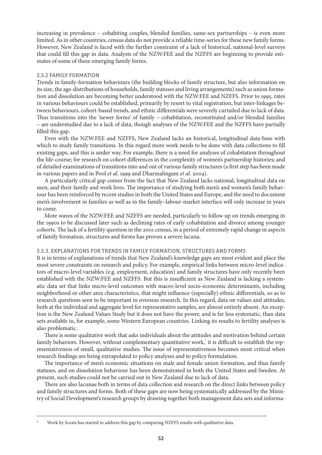increasing in prevalence – cohabiting couples, blended families, same-sex partnerships – is even more limited. As in other countries, census data do not provide a reliable time-series for these new family forms. However, New Zealand is faced with the further constraint of a lack of historical, national-level surveys that could fill this gap in data. Analysts of the NZW:FEE and the NZFFS are beginning to provide estimates of some of these emerging family forms.

#### 3.5.2 Family Formation

Trends in family-formation behaviours (the building blocks of family structure, but also information on its size, the age-distributions of households, family statuses and living arrangements) such as union formation and dissolution are becoming better understood with the NZW:FEE and NZFFS. Prior to 1995, rates in various behaviours could be established, primarily by resort to vital registration, but inter-linkages between behaviours, cohort-based trends, and ethnic differentials were severely curtailed due to lack of data. Thus transitions into the 'newer forms' of family – cohabitation, reconstituted and/or blended families – are understudied due to a lack of data, though analyses of the NZW:FEE and the NZFFS have partially filled this gap.

Even with the NZW:FEE and NZFFS, New Zealand lacks an historical, longitudinal data-base with which to study family transitions. In this regard more work needs to be done with data collections to fill existing gaps, and this is under way. For example, there is a need for analyses of cohabitation throughout the life-course; for research on cohort differences in the complexity of women's partnership histories; and of detailed examinations of transitions into and out of various family structures (a first step has been made in various papers and in Pool *et al.* 1999 and Dharmalingam *et al.* 2004).

A particularly critical gap comes from the fact that New Zealand lacks national, longitudinal data on men, and their family and work lives. The importance of studying both men's and women's family behaviour has been reinforced by recent studies in both the United States and Europe, and the need to document men's involvement in families as well as in the family–labour-market interface will only increase in years to come.

More waves of the NZW:FEE and NZFFS are needed, particularly to follow up on trends emerging in the 1990s to be discussed later such as declining rates of early cohabitation and divorce among younger cohorts. The lack of a fertility question in the 2001 census, in a period of extremely rapid change in aspects of family formation, structures and forms has proven a severe lacuna.

# 3.5.3. Explanations for Trends in Family Formation, Structures and Forms

It is in terms of explanations of trends that New Zealand's knowledge gaps are most evident and place the most severe constraints on research and policy. For example, empirical links between micro-level indicators of macro-level variables (e.g. employment, education) and family structures have only recently been established with the NZW:FEE and NZFFS. But this is insufficient as New Zealand is lacking a systematic data set that links micro-level outcomes with macro-level socio-economic determinants, including neighborhood or other area characteristics, that might influence (especially) ethnic differentials, so as to research questions seen to be important in overseas research. In this regard, data on values and attitudes, both at the individual and aggregate level for representative samples, are almost entirely absent. An exception is the New Zealand Values Study but it does not have the power, and is far less systematic, than data sets available in, for example, some Western European countries. Linking its results to fertility analyses is also problematic.

There is some qualitative work that asks individuals about the attitudes and motivation behind certain family behaviors. However, without complementary quantitative work, it is difficult to establish the representativeness of small, qualitative studies. The issue of representativeness becomes most critical when research findings are being extrapolated to policy analyses and to policy formulation.

The importance of men's economic situations on male and female union formation, and thus family statuses, and on dissolution behaviour has been demonstrated in both the United States and Sweden. At present, such studies could not be carried out in New Zealand due to lack of data.

There are also lacunae both in terms of data collection and research on the direct links between policy and family structures and forms. Both of these gaps are now being systematically addressed by the Ministry of Social Development's research groups by drawing together both management data sets and informa-

Work by Sceats has started to address this gap by comparing NZFFS results with qualitative data.